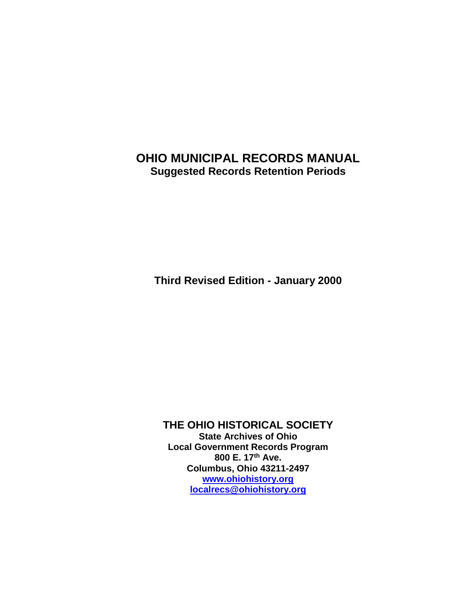# **OHIO MUNICIPAL RECORDS MANUAL Suggested Records Retention Periods**

**Third Revised Edition - January 2000**

**THE OHIO HISTORICAL SOCIETY State Archives of Ohio Local Government Records Program 800 E. 17th Ave. Columbus, Ohio 43211-2497 [www.ohiohistory.org](http://www.ohiohistory.org/) [localrecs@ohiohistory.org](mailto:localrecs@ohiohistory.org)**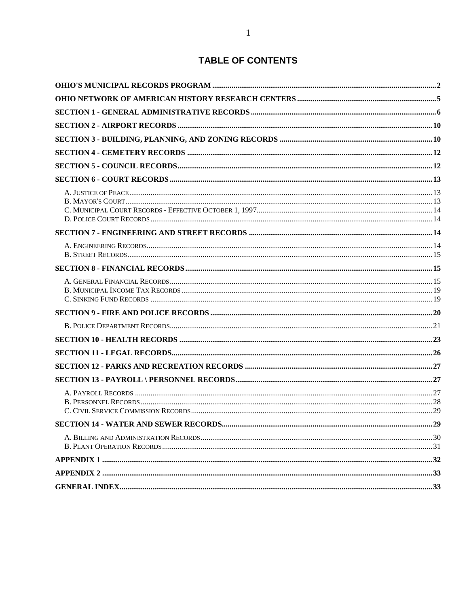### **TABLE OF CONTENTS**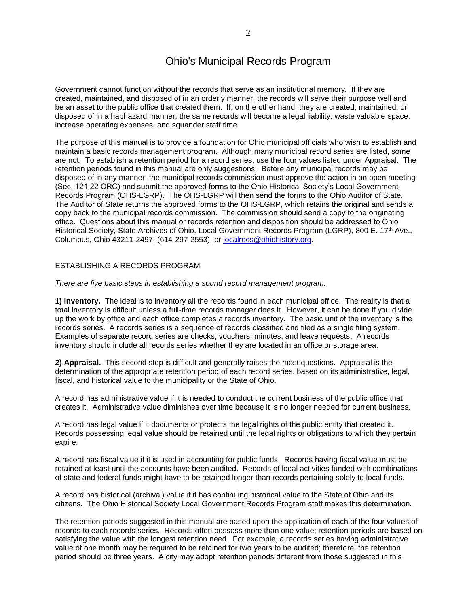### Ohio's Municipal Records Program

Government cannot function without the records that serve as an institutional memory. If they are created, maintained, and disposed of in an orderly manner, the records will serve their purpose well and be an asset to the public office that created them. If, on the other hand, they are created, maintained, or disposed of in a haphazard manner, the same records will become a legal liability, waste valuable space, increase operating expenses, and squander staff time.

The purpose of this manual is to provide a foundation for Ohio municipal officials who wish to establish and maintain a basic records management program. Although many municipal record series are listed, some are not. To establish a retention period for a record series, use the four values listed under Appraisal. The retention periods found in this manual are only suggestions. Before any municipal records may be disposed of in any manner, the municipal records commission must approve the action in an open meeting (Sec. 121.22 ORC) and submit the approved forms to the Ohio Historical Society's Local Government Records Program (OHS-LGRP). The OHS-LGRP will then send the forms to the Ohio Auditor of State. The Auditor of State returns the approved forms to the OHS-LGRP, which retains the original and sends a copy back to the municipal records commission. The commission should send a copy to the originating office. Questions about this manual or records retention and disposition should be addressed to Ohio Historical Society, State Archives of Ohio, Local Government Records Program (LGRP), 800 E. 17th Ave., Columbus, Ohio 43211-2497, (614-297-2553), or [localrecs@ohiohistory.org.](mailto:localrecs@ohiohistory.org)

#### ESTABLISHING A RECORDS PROGRAM

*There are five basic steps in establishing a sound record management program.*

**1) Inventory.** The ideal is to inventory all the records found in each municipal office. The reality is that a total inventory is difficult unless a full-time records manager does it. However, it can be done if you divide up the work by office and each office completes a records inventory. The basic unit of the inventory is the records series. A records series is a sequence of records classified and filed as a single filing system. Examples of separate record series are checks, vouchers, minutes, and leave requests. A records inventory should include all records series whether they are located in an office or storage area.

**2) Appraisal.** This second step is difficult and generally raises the most questions. Appraisal is the determination of the appropriate retention period of each record series, based on its administrative, legal, fiscal, and historical value to the municipality or the State of Ohio.

A record has administrative value if it is needed to conduct the current business of the public office that creates it. Administrative value diminishes over time because it is no longer needed for current business.

A record has legal value if it documents or protects the legal rights of the public entity that created it. Records possessing legal value should be retained until the legal rights or obligations to which they pertain expire.

A record has fiscal value if it is used in accounting for public funds. Records having fiscal value must be retained at least until the accounts have been audited. Records of local activities funded with combinations of state and federal funds might have to be retained longer than records pertaining solely to local funds.

A record has historical (archival) value if it has continuing historical value to the State of Ohio and its citizens. The Ohio Historical Society Local Government Records Program staff makes this determination.

The retention periods suggested in this manual are based upon the application of each of the four values of records to each records series. Records often possess more than one value; retention periods are based on satisfying the value with the longest retention need. For example, a records series having administrative value of one month may be required to be retained for two years to be audited; therefore, the retention period should be three years. A city may adopt retention periods different from those suggested in this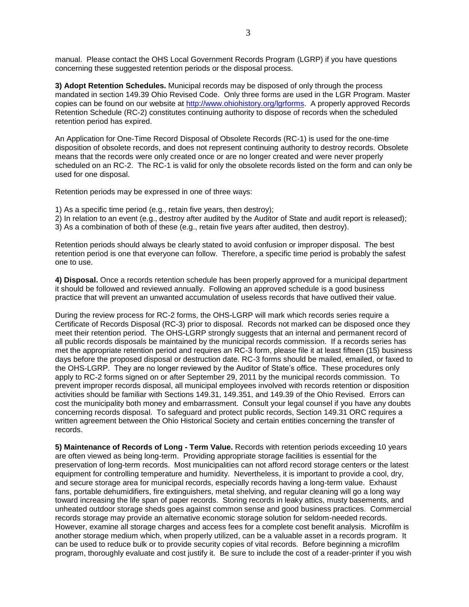manual. Please contact the OHS Local Government Records Program (LGRP) if you have questions concerning these suggested retention periods or the disposal process.

**3) Adopt Retention Schedules.** Municipal records may be disposed of only through the process mandated in section 149.39 Ohio Revised Code. Only three forms are used in the LGR Program. Master copies can be found on our website at [http://www.ohiohistory.org/lgrforms.](http://www.ohiohistory.org/lgrforms) A properly approved Records Retention Schedule (RC-2) constitutes continuing authority to dispose of records when the scheduled retention period has expired.

An Application for One-Time Record Disposal of Obsolete Records (RC-1) is used for the one-time disposition of obsolete records, and does not represent continuing authority to destroy records. Obsolete means that the records were only created once or are no longer created and were never properly scheduled on an RC-2. The RC-1 is valid for only the obsolete records listed on the form and can only be used for one disposal.

Retention periods may be expressed in one of three ways:

- 1) As a specific time period (e.g., retain five years, then destroy);
- 2) In relation to an event (e.g., destroy after audited by the Auditor of State and audit report is released);

3) As a combination of both of these (e.g., retain five years after audited, then destroy).

Retention periods should always be clearly stated to avoid confusion or improper disposal. The best retention period is one that everyone can follow. Therefore, a specific time period is probably the safest one to use.

**4) Disposal.** Once a records retention schedule has been properly approved for a municipal department it should be followed and reviewed annually. Following an approved schedule is a good business practice that will prevent an unwanted accumulation of useless records that have outlived their value.

During the review process for RC-2 forms, the OHS-LGRP will mark which records series require a Certificate of Records Disposal (RC-3) prior to disposal. Records not marked can be disposed once they meet their retention period. The OHS-LGRP strongly suggests that an internal and permanent record of all public records disposals be maintained by the municipal records commission. If a records series has met the appropriate retention period and requires an RC-3 form, please file it at least fifteen (15) business days before the proposed disposal or destruction date. RC-3 forms should be mailed, emailed, or faxed to the OHS-LGRP. They are no longer reviewed by the Auditor of State's office. These procedures only apply to RC-2 forms signed on or after September 29, 2011 by the municipal records commission. To prevent improper records disposal, all municipal employees involved with records retention or disposition activities should be familiar with Sections 149.31, 149.351, and 149.39 of the Ohio Revised. Errors can cost the municipality both money and embarrassment. Consult your legal counsel if you have any doubts concerning records disposal. To safeguard and protect public records, Section 149.31 ORC requires a written agreement between the Ohio Historical Society and certain entities concerning the transfer of records.

**5) Maintenance of Records of Long - Term Value.** Records with retention periods exceeding 10 years are often viewed as being long-term. Providing appropriate storage facilities is essential for the preservation of long-term records. Most municipalities can not afford record storage centers or the latest equipment for controlling temperature and humidity. Nevertheless, it is important to provide a cool, dry, and secure storage area for municipal records, especially records having a long-term value. Exhaust fans, portable dehumidifiers, fire extinguishers, metal shelving, and regular cleaning will go a long way toward increasing the life span of paper records. Storing records in leaky attics, musty basements, and unheated outdoor storage sheds goes against common sense and good business practices. Commercial records storage may provide an alternative economic storage solution for seldom-needed records. However, examine all storage charges and access fees for a complete cost benefit analysis. Microfilm is another storage medium which, when properly utilized, can be a valuable asset in a records program. It can be used to reduce bulk or to provide security copies of vital records. Before beginning a microfilm program, thoroughly evaluate and cost justify it. Be sure to include the cost of a reader-printer if you wish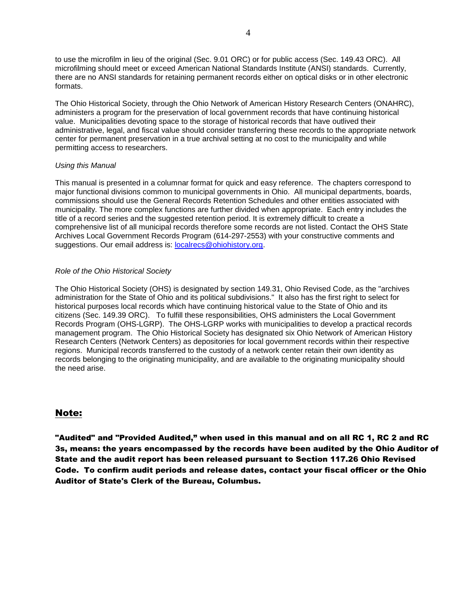to use the microfilm in lieu of the original (Sec. 9.01 ORC) or for public access (Sec. 149.43 ORC). All microfilming should meet or exceed American National Standards Institute (ANSI) standards. Currently, there are no ANSI standards for retaining permanent records either on optical disks or in other electronic formats.

The Ohio Historical Society, through the Ohio Network of American History Research Centers (ONAHRC), administers a program for the preservation of local government records that have continuing historical value. Municipalities devoting space to the storage of historical records that have outlived their administrative, legal, and fiscal value should consider transferring these records to the appropriate network center for permanent preservation in a true archival setting at no cost to the municipality and while permitting access to researchers.

#### *Using this Manual*

This manual is presented in a columnar format for quick and easy reference. The chapters correspond to major functional divisions common to municipal governments in Ohio. All municipal departments, boards, commissions should use the General Records Retention Schedules and other entities associated with municipality. The more complex functions are further divided when appropriate. Each entry includes the title of a record series and the suggested retention period. It is extremely difficult to create a comprehensive list of all municipal records therefore some records are not listed. Contact the OHS State Archives Local Government Records Program (614-297-2553) with your constructive comments and suggestions. Our email address is: [localrecs@ohiohistory.org.](mailto:localrecs@ohiohistory.org)

#### *Role of the Ohio Historical Society*

The Ohio Historical Society (OHS) is designated by section 149.31, Ohio Revised Code, as the "archives administration for the State of Ohio and its political subdivisions." It also has the first right to select for historical purposes local records which have continuing historical value to the State of Ohio and its citizens (Sec. 149.39 ORC). To fulfill these responsibilities, OHS administers the Local Government Records Program (OHS-LGRP). The OHS-LGRP works with municipalities to develop a practical records management program. The Ohio Historical Society has designated six Ohio Network of American History Research Centers (Network Centers) as depositories for local government records within their respective regions. Municipal records transferred to the custody of a network center retain their own identity as records belonging to the originating municipality, and are available to the originating municipality should the need arise.

#### Note:

"Audited" and "Provided Audited," when used in this manual and on all RC 1, RC 2 and RC 3s, means: the years encompassed by the records have been audited by the Ohio Auditor of State and the audit report has been released pursuant to Section 117.26 Ohio Revised Code. To confirm audit periods and release dates, contact your fiscal officer or the Ohio Auditor of State's Clerk of the Bureau, Columbus.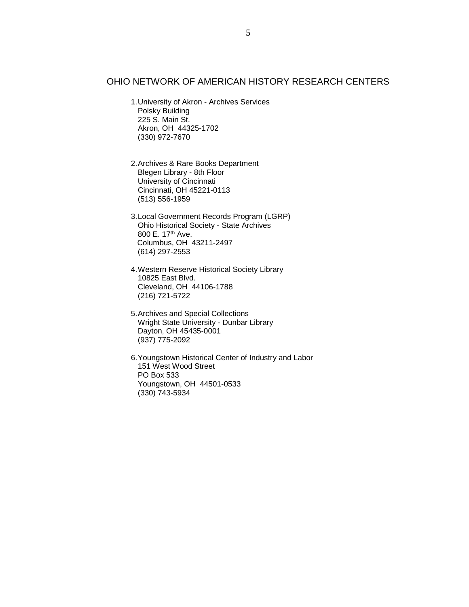#### OHIO NETWORK OF AMERICAN HISTORY RESEARCH CENTERS

- 1.University of Akron Archives Services Polsky Building 225 S. Main St. Akron, OH 44325-1702 (330) 972-7670
- 2.Archives & Rare Books Department Blegen Library - 8th Floor University of Cincinnati Cincinnati, OH 45221-0113 (513) 556-1959
- 3.Local Government Records Program (LGRP) Ohio Historical Society - State Archives 800 E. 17th Ave. Columbus, OH 43211-2497 (614) 297-2553
- 4.Western Reserve Historical Society Library 10825 East Blvd. Cleveland, OH 44106-1788 (216) 721-5722
- 5.Archives and Special Collections Wright State University - Dunbar Library Dayton, OH 45435-0001 (937) 775-2092
- 6.Youngstown Historical Center of Industry and Labor 151 West Wood Street PO Box 533 Youngstown, OH 44501-0533 (330) 743-5934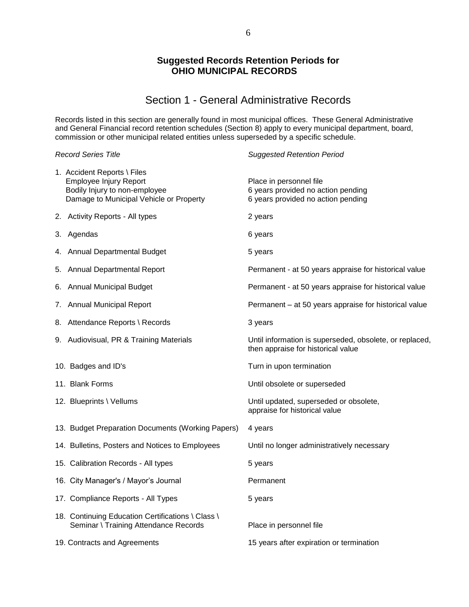#### **Suggested Records Retention Periods for OHIO MUNICIPAL RECORDS**

### Section 1 - General Administrative Records

Records listed in this section are generally found in most municipal offices. These General Administrative and General Financial record retention schedules (Section 8) apply to every municipal department, board, commission or other municipal related entities unless superseded by a specific schedule.

| <b>Record Series Title</b>                                                                                                        | <b>Suggested Retention Period</b>                                                                   |
|-----------------------------------------------------------------------------------------------------------------------------------|-----------------------------------------------------------------------------------------------------|
| 1. Accident Reports \ Files<br>Employee Injury Report<br>Bodily Injury to non-employee<br>Damage to Municipal Vehicle or Property | Place in personnel file<br>6 years provided no action pending<br>6 years provided no action pending |
| 2. Activity Reports - All types                                                                                                   | 2 years                                                                                             |
| 3. Agendas                                                                                                                        | 6 years                                                                                             |
| 4. Annual Departmental Budget                                                                                                     | 5 years                                                                                             |
| 5. Annual Departmental Report                                                                                                     | Permanent - at 50 years appraise for historical value                                               |
| 6. Annual Municipal Budget                                                                                                        | Permanent - at 50 years appraise for historical value                                               |
| 7. Annual Municipal Report                                                                                                        | Permanent - at 50 years appraise for historical value                                               |
| 8. Attendance Reports \ Records                                                                                                   | 3 years                                                                                             |
| 9. Audiovisual, PR & Training Materials                                                                                           | Until information is superseded, obsolete, or replaced,<br>then appraise for historical value       |
| 10. Badges and ID's                                                                                                               | Turn in upon termination                                                                            |
| 11. Blank Forms                                                                                                                   | Until obsolete or superseded                                                                        |
| 12. Blueprints \ Vellums                                                                                                          | Until updated, superseded or obsolete,<br>appraise for historical value                             |
| 13. Budget Preparation Documents (Working Papers)                                                                                 | 4 years                                                                                             |
| 14. Bulletins, Posters and Notices to Employees                                                                                   | Until no longer administratively necessary                                                          |
| 15. Calibration Records - All types                                                                                               | 5 years                                                                                             |
| 16. City Manager's / Mayor's Journal                                                                                              | Permanent                                                                                           |
| 17. Compliance Reports - All Types                                                                                                | 5 years                                                                                             |
| 18. Continuing Education Certifications \ Class \<br>Seminar \ Training Attendance Records                                        | Place in personnel file                                                                             |
| 19. Contracts and Agreements                                                                                                      | 15 years after expiration or termination                                                            |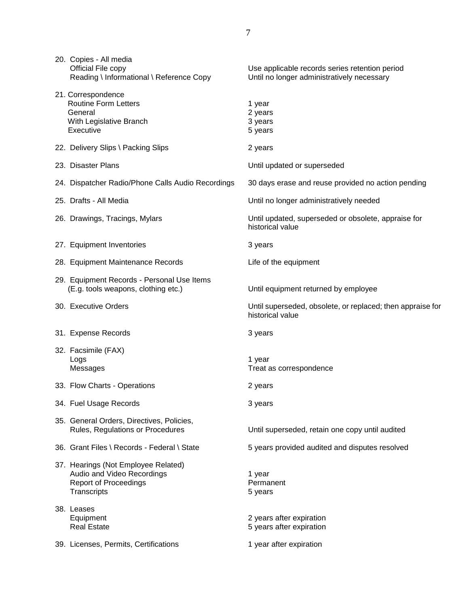| 20. Copies - All media<br>Official File copy<br>Reading \ Informational \ Reference Copy                         | Use applicable records series retention period<br>Until no longer administratively necessary |
|------------------------------------------------------------------------------------------------------------------|----------------------------------------------------------------------------------------------|
| 21. Correspondence<br><b>Routine Form Letters</b><br>General<br>With Legislative Branch<br>Executive             | 1 year<br>2 years<br>3 years<br>5 years                                                      |
| 22. Delivery Slips \ Packing Slips                                                                               | 2 years                                                                                      |
| 23. Disaster Plans                                                                                               | Until updated or superseded                                                                  |
| 24. Dispatcher Radio/Phone Calls Audio Recordings                                                                | 30 days erase and reuse provided no action pending                                           |
| 25. Drafts - All Media                                                                                           | Until no longer administratively needed                                                      |
| 26. Drawings, Tracings, Mylars                                                                                   | Until updated, superseded or obsolete, appraise for<br>historical value                      |
| 27. Equipment Inventories                                                                                        | 3 years                                                                                      |
| 28. Equipment Maintenance Records                                                                                | Life of the equipment                                                                        |
| 29. Equipment Records - Personal Use Items<br>(E.g. tools weapons, clothing etc.)                                | Until equipment returned by employee                                                         |
| 30. Executive Orders                                                                                             | Until superseded, obsolete, or replaced; then appraise for<br>historical value               |
| 31. Expense Records                                                                                              | 3 years                                                                                      |
| 32. Facsimile (FAX)<br>Logs<br>Messages                                                                          | 1 year<br>Treat as correspondence                                                            |
| 33. Flow Charts - Operations                                                                                     | 2 years                                                                                      |
| 34. Fuel Usage Records                                                                                           | 3 years                                                                                      |
| 35. General Orders, Directives, Policies,<br>Rules, Regulations or Procedures                                    | Until superseded, retain one copy until audited                                              |
| 36. Grant Files \ Records - Federal \ State                                                                      | 5 years provided audited and disputes resolved                                               |
| 37. Hearings (Not Employee Related)<br>Audio and Video Recordings<br><b>Report of Proceedings</b><br>Transcripts | 1 year<br>Permanent<br>5 years                                                               |
| 38. Leases<br>Equipment<br><b>Real Estate</b>                                                                    | 2 years after expiration<br>5 years after expiration                                         |
| 39. Licenses, Permits, Certifications                                                                            | 1 year after expiration                                                                      |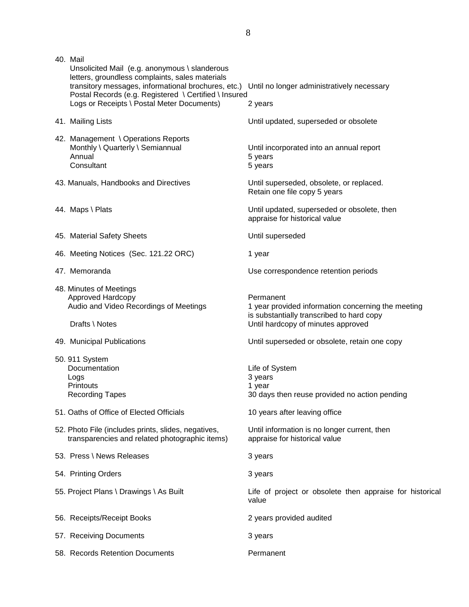| 40. Mail<br>Unsolicited Mail (e.g. anonymous \ slanderous<br>letters, groundless complaints, sales materials<br>transitory messages, informational brochures, etc.) Until no longer administratively necessary |                                                                                                                                                    |
|----------------------------------------------------------------------------------------------------------------------------------------------------------------------------------------------------------------|----------------------------------------------------------------------------------------------------------------------------------------------------|
| Postal Records (e.g. Registered \ Certified \ Insured<br>Logs or Receipts \ Postal Meter Documents)                                                                                                            | 2 years                                                                                                                                            |
| 41. Mailing Lists                                                                                                                                                                                              | Until updated, superseded or obsolete                                                                                                              |
| 42. Management \ Operations Reports<br>Monthly \ Quarterly \ Semiannual<br>Annual<br>Consultant                                                                                                                | Until incorporated into an annual report<br>5 years<br>5 years                                                                                     |
| 43. Manuals, Handbooks and Directives                                                                                                                                                                          | Until superseded, obsolete, or replaced.<br>Retain one file copy 5 years                                                                           |
| 44. Maps \ Plats                                                                                                                                                                                               | Until updated, superseded or obsolete, then<br>appraise for historical value                                                                       |
| 45. Material Safety Sheets                                                                                                                                                                                     | Until superseded                                                                                                                                   |
| 46. Meeting Notices (Sec. 121.22 ORC)                                                                                                                                                                          | 1 year                                                                                                                                             |
| 47. Memoranda                                                                                                                                                                                                  | Use correspondence retention periods                                                                                                               |
| 48. Minutes of Meetings<br>Approved Hardcopy<br>Audio and Video Recordings of Meetings<br>Drafts \ Notes                                                                                                       | Permanent<br>1 year provided information concerning the meeting<br>is substantially transcribed to hard copy<br>Until hardcopy of minutes approved |
| 49. Municipal Publications                                                                                                                                                                                     | Until superseded or obsolete, retain one copy                                                                                                      |
| 50. 911 System<br>Documentation<br>Logs<br><b>Printouts</b><br><b>Recording Tapes</b>                                                                                                                          | Life of System<br>3 years<br>1 year<br>30 days then reuse provided no action pending                                                               |
| 51. Oaths of Office of Elected Officials                                                                                                                                                                       | 10 years after leaving office                                                                                                                      |
| 52. Photo File (includes prints, slides, negatives,<br>transparencies and related photographic items)                                                                                                          | Until information is no longer current, then<br>appraise for historical value                                                                      |
| 53. Press \ News Releases                                                                                                                                                                                      | 3 years                                                                                                                                            |
| 54. Printing Orders                                                                                                                                                                                            | 3 years                                                                                                                                            |
| 55. Project Plans \ Drawings \ As Built                                                                                                                                                                        | Life of project or obsolete then appraise for historical<br>value                                                                                  |
| 56. Receipts/Receipt Books                                                                                                                                                                                     | 2 years provided audited                                                                                                                           |
| 57. Receiving Documents                                                                                                                                                                                        | 3 years                                                                                                                                            |
| 58. Records Retention Documents                                                                                                                                                                                | Permanent                                                                                                                                          |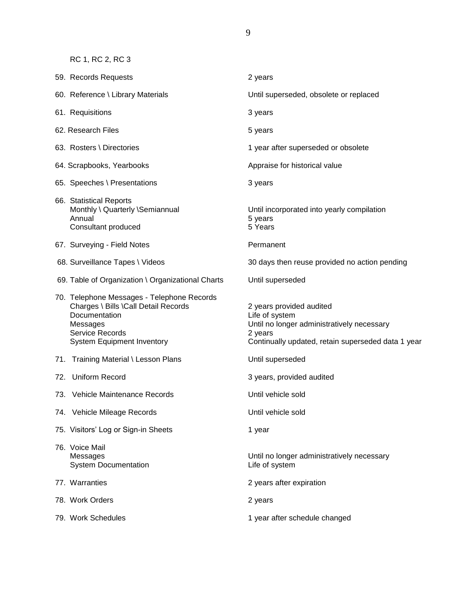RC 1, RC 2, RC 3

| 59. Records Requests                                                                                                                                                    | 2 years                                                                                                                                                   |
|-------------------------------------------------------------------------------------------------------------------------------------------------------------------------|-----------------------------------------------------------------------------------------------------------------------------------------------------------|
| 60. Reference \ Library Materials                                                                                                                                       | Until superseded, obsolete or replaced                                                                                                                    |
| 61. Requisitions                                                                                                                                                        | 3 years                                                                                                                                                   |
| 62. Research Files                                                                                                                                                      | 5 years                                                                                                                                                   |
| 63. Rosters \ Directories                                                                                                                                               | 1 year after superseded or obsolete                                                                                                                       |
| 64. Scrapbooks, Yearbooks                                                                                                                                               | Appraise for historical value                                                                                                                             |
| 65. Speeches \ Presentations                                                                                                                                            | 3 years                                                                                                                                                   |
| 66. Statistical Reports<br>Monthly \ Quarterly \Semiannual<br>Annual<br>Consultant produced                                                                             | Until incorporated into yearly compilation<br>5 years<br>5 Years                                                                                          |
| 67. Surveying - Field Notes                                                                                                                                             | Permanent                                                                                                                                                 |
| 68. Surveillance Tapes \ Videos                                                                                                                                         | 30 days then reuse provided no action pending                                                                                                             |
| 69. Table of Organization \ Organizational Charts                                                                                                                       | Until superseded                                                                                                                                          |
| 70. Telephone Messages - Telephone Records<br>Charges \ Bills \Call Detail Records<br>Documentation<br>Messages<br>Service Records<br><b>System Equipment Inventory</b> | 2 years provided audited<br>Life of system<br>Until no longer administratively necessary<br>2 years<br>Continually updated, retain superseded data 1 year |
| 71. Training Material \ Lesson Plans                                                                                                                                    | Until superseded                                                                                                                                          |
| 72. Uniform Record                                                                                                                                                      | 3 years, provided audited                                                                                                                                 |
| 73. Vehicle Maintenance Records                                                                                                                                         | Until vehicle sold                                                                                                                                        |
| 74. Vehicle Mileage Records                                                                                                                                             | Until vehicle sold                                                                                                                                        |
| 75. Visitors' Log or Sign-in Sheets                                                                                                                                     | 1 year                                                                                                                                                    |
| 76. Voice Mail<br>Messages<br><b>System Documentation</b>                                                                                                               | Until no longer administratively necessary<br>Life of system                                                                                              |
| 77. Warranties                                                                                                                                                          | 2 years after expiration                                                                                                                                  |
| 78. Work Orders                                                                                                                                                         | 2 years                                                                                                                                                   |
| 79. Work Schedules                                                                                                                                                      | 1 year after schedule changed                                                                                                                             |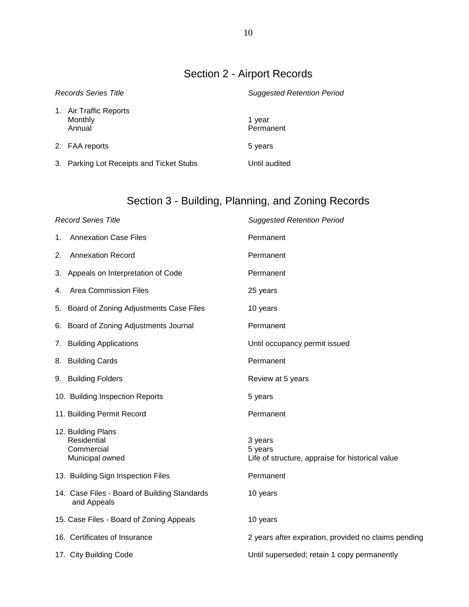# Section 2 - Airport Records

| <b>Records Series Title</b> |                                             | <b>Suggested Retention Period</b> |  |
|-----------------------------|---------------------------------------------|-----------------------------------|--|
|                             | 1. Air Traffic Reports<br>Monthly<br>Annual | 1 year<br>Permanent               |  |
|                             | 2. FAA reports                              | 5 years                           |  |
|                             | 3. Parking Lot Receipts and Ticket Stubs    | Until audited                     |  |

# Section 3 - Building, Planning, and Zoning Records

|    | <b>Record Series Title</b>                                         | <b>Suggested Retention Period</b>                                      |
|----|--------------------------------------------------------------------|------------------------------------------------------------------------|
| 1. | <b>Annexation Case Files</b>                                       | Permanent                                                              |
| 2. | <b>Annexation Record</b>                                           | Permanent                                                              |
|    | 3. Appeals on Interpretation of Code                               | Permanent                                                              |
| 4. | <b>Area Commission Files</b>                                       | 25 years                                                               |
| 5. | Board of Zoning Adjustments Case Files                             | 10 years                                                               |
| 6. | Board of Zoning Adjustments Journal                                | Permanent                                                              |
| 7. | <b>Building Applications</b>                                       | Until occupancy permit issued                                          |
| 8. | <b>Building Cards</b>                                              | Permanent                                                              |
|    | 9. Building Folders                                                | Review at 5 years                                                      |
|    | 10. Building Inspection Reports                                    | 5 years                                                                |
|    | 11. Building Permit Record                                         | Permanent                                                              |
|    | 12. Building Plans<br>Residential<br>Commercial<br>Municipal owned | 3 years<br>5 years<br>Life of structure, appraise for historical value |
|    | 13. Building Sign Inspection Files                                 | Permanent                                                              |
|    | 14. Case Files - Board of Building Standards<br>and Appeals        | 10 years                                                               |
|    | 15. Case Files - Board of Zoning Appeals                           | 10 years                                                               |
|    | 16. Certificates of Insurance                                      | 2 years after expiration, provided no claims pending                   |
|    | 17. City Building Code                                             | Until superseded; retain 1 copy permanently                            |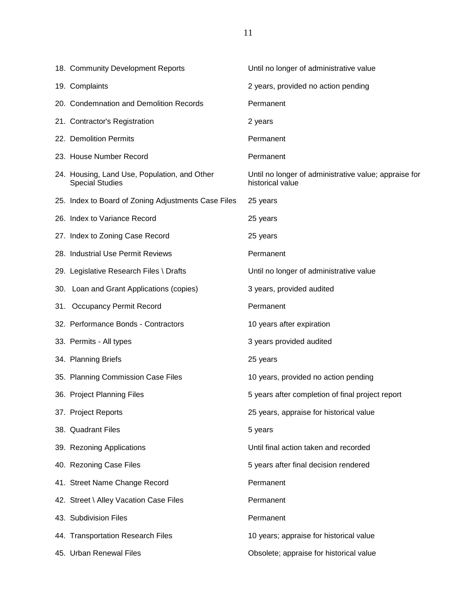| 18. Community Development Reports                                      | Until no longer of administrative value                                   |
|------------------------------------------------------------------------|---------------------------------------------------------------------------|
| 19. Complaints                                                         | 2 years, provided no action pending                                       |
| 20. Condemnation and Demolition Records                                | Permanent                                                                 |
| 21. Contractor's Registration                                          | 2 years                                                                   |
| 22. Demolition Permits                                                 | Permanent                                                                 |
| 23. House Number Record                                                | Permanent                                                                 |
| 24. Housing, Land Use, Population, and Other<br><b>Special Studies</b> | Until no longer of administrative value; appraise for<br>historical value |
| 25. Index to Board of Zoning Adjustments Case Files                    | 25 years                                                                  |
| 26. Index to Variance Record                                           | 25 years                                                                  |
| 27. Index to Zoning Case Record                                        | 25 years                                                                  |
| 28. Industrial Use Permit Reviews                                      | Permanent                                                                 |
| 29. Legislative Research Files \ Drafts                                | Until no longer of administrative value                                   |
| 30. Loan and Grant Applications (copies)                               | 3 years, provided audited                                                 |
| 31. Occupancy Permit Record                                            | Permanent                                                                 |
| 32. Performance Bonds - Contractors                                    | 10 years after expiration                                                 |
| 33. Permits - All types                                                | 3 years provided audited                                                  |
| 34. Planning Briefs                                                    | 25 years                                                                  |
| 35. Planning Commission Case Files                                     | 10 years, provided no action pending                                      |
| 36. Project Planning Files                                             | 5 years after completion of final project report                          |
| 37. Project Reports                                                    | 25 years, appraise for historical value                                   |
| 38. Quadrant Files                                                     | 5 years                                                                   |
| 39. Rezoning Applications                                              | Until final action taken and recorded                                     |
| 40. Rezoning Case Files                                                | 5 years after final decision rendered                                     |
| 41. Street Name Change Record                                          | Permanent                                                                 |
| 42. Street \ Alley Vacation Case Files                                 | Permanent                                                                 |
| 43. Subdivision Files                                                  | Permanent                                                                 |
| 44. Transportation Research Files                                      | 10 years; appraise for historical value                                   |
| 45. Urban Renewal Files                                                | Obsolete; appraise for historical value                                   |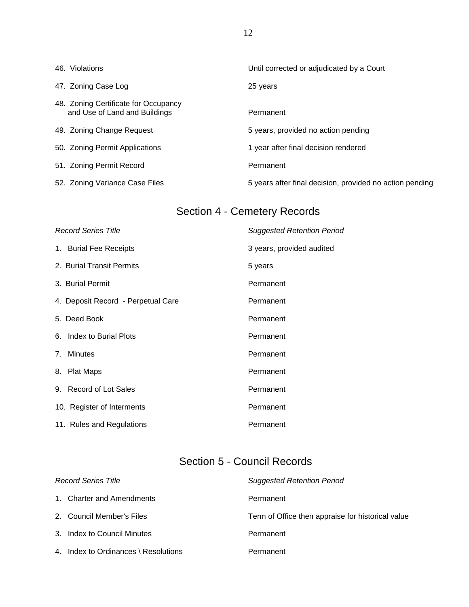| 46. Violations                                                        | Until corrected or adjudicated by a Court                |
|-----------------------------------------------------------------------|----------------------------------------------------------|
| 47. Zoning Case Log                                                   | 25 years                                                 |
| 48. Zoning Certificate for Occupancy<br>and Use of Land and Buildings | Permanent                                                |
| 49. Zoning Change Request                                             | 5 years, provided no action pending                      |
| 50. Zoning Permit Applications                                        | 1 year after final decision rendered                     |
| 51. Zoning Permit Record                                              | Permanent                                                |
| 52. Zoning Variance Case Files                                        | 5 years after final decision, provided no action pending |

# Section 4 - Cemetery Records

| <b>Record Series Title</b>         | <b>Suggested Retention Period</b> |
|------------------------------------|-----------------------------------|
| 1. Burial Fee Receipts             | 3 years, provided audited         |
| 2. Burial Transit Permits          | 5 years                           |
| 3. Burial Permit                   | Permanent                         |
| 4. Deposit Record - Perpetual Care | Permanent                         |
| 5. Deed Book                       | Permanent                         |
| 6. Index to Burial Plots           | Permanent                         |
| 7. Minutes                         | Permanent                         |
| 8. Plat Maps                       | Permanent                         |
| 9. Record of Lot Sales             | Permanent                         |
| 10. Register of Interments         | Permanent                         |
| 11. Rules and Regulations          | Permanent                         |

# Section 5 - Council Records

| <b>Record Series Title</b>           | <b>Suggested Retention Period</b>                 |
|--------------------------------------|---------------------------------------------------|
| 1. Charter and Amendments            | Permanent                                         |
| 2. Council Member's Files            | Term of Office then appraise for historical value |
| 3. Index to Council Minutes          | Permanent                                         |
| 4. Index to Ordinances \ Resolutions | Permanent                                         |

12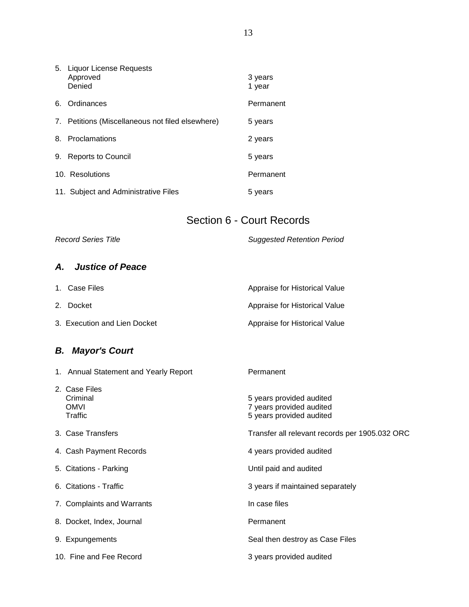|    | 5. Liquor License Requests<br>Approved<br>Denied | 3 years<br>1 year |
|----|--------------------------------------------------|-------------------|
| 6. | Ordinances                                       | Permanent         |
| 7. | Petitions (Miscellaneous not filed elsewhere)    | 5 years           |
| 8. | Proclamations                                    | 2 years           |
| 9. | <b>Reports to Council</b>                        | 5 years           |
|    | 10. Resolutions                                  | Permanent         |
|    | 11. Subject and Administrative Files             | 5 years           |

### Section 6 - Court Records

*Record Series Title Suggested Retention Period*

### *A. Justice of Peace*

| 1. Case Files                | Appraise for Historical Value |
|------------------------------|-------------------------------|
| 2. Docket                    | Appraise for Historical Value |
| 3. Execution and Lien Docket | Appraise for Historical Value |

## *B. Mayor's Court*

| 1. Annual Statement and Yearly Report               | Permanent                                                                        |
|-----------------------------------------------------|----------------------------------------------------------------------------------|
| 2. Case Files<br>Criminal<br><b>OMVI</b><br>Traffic | 5 years provided audited<br>7 years provided audited<br>5 years provided audited |
| 3. Case Transfers                                   | Transfer all relevant records per 1905.032 ORC                                   |
| 4. Cash Payment Records                             | 4 years provided audited                                                         |
| 5. Citations - Parking                              | Until paid and audited                                                           |
| 6. Citations - Traffic                              | 3 years if maintained separately                                                 |
| 7. Complaints and Warrants                          | In case files                                                                    |
| 8. Docket, Index, Journal                           | Permanent                                                                        |
| 9. Expungements                                     | Seal then destroy as Case Files                                                  |
| 10. Fine and Fee Record                             | 3 years provided audited                                                         |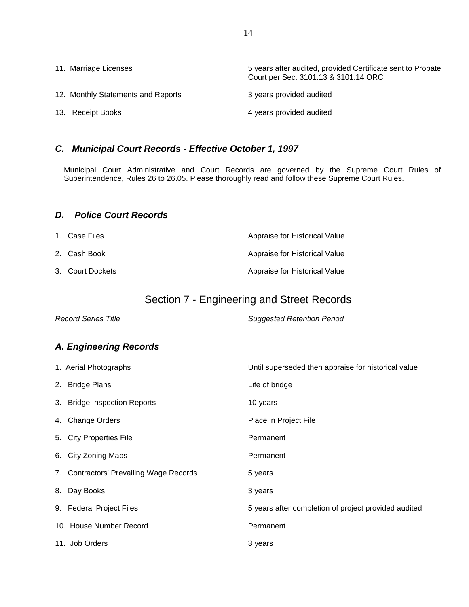| 11. Marriage Licenses              | 5 years after audited, provided Certificate sent to Probate<br>Court per Sec. 3101.13 & 3101.14 ORC |
|------------------------------------|-----------------------------------------------------------------------------------------------------|
| 12. Monthly Statements and Reports | 3 years provided audited                                                                            |
| 13. Receipt Books                  | 4 years provided audited                                                                            |

### *C. Municipal Court Records - Effective October 1, 1997*

Municipal Court Administrative and Court Records are governed by the Supreme Court Rules of Superintendence, Rules 26 to 26.05. Please thoroughly read and follow these Supreme Court Rules.

#### *D. Police Court Records*

| 1. Case Files    | Appraise for Historical Value |
|------------------|-------------------------------|
| 2.   Cash Book   | Appraise for Historical Value |
| 3. Court Dockets | Appraise for Historical Value |

### Section 7 - Engineering and Street Records

*Record Series Title Suggested Retention Period*

### *A. Engineering Records*

| 1. Aerial Photographs                   | Until superseded then appraise for historical value  |
|-----------------------------------------|------------------------------------------------------|
| 2. Bridge Plans                         | Life of bridge                                       |
| 3. Bridge Inspection Reports            | 10 years                                             |
| 4. Change Orders                        | Place in Project File                                |
| 5. City Properties File                 | Permanent                                            |
| 6. City Zoning Maps                     | Permanent                                            |
| 7. Contractors' Prevailing Wage Records | 5 years                                              |
| 8. Day Books                            | 3 years                                              |
| 9. Federal Project Files                | 5 years after completion of project provided audited |
| 10. House Number Record                 | Permanent                                            |
| 11. Job Orders                          | 3 years                                              |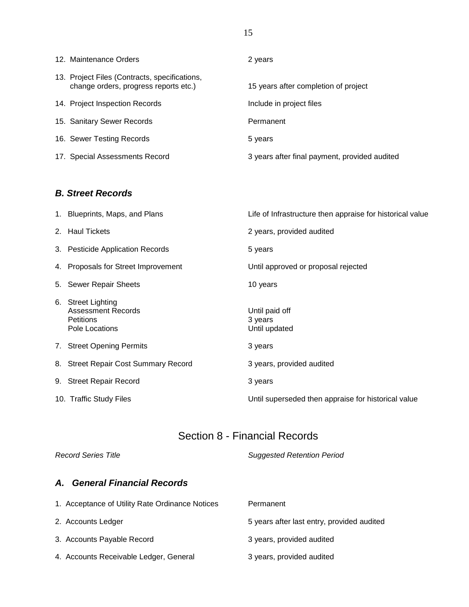| 12. Maintenance Orders                                                                 | 2 years                                       |
|----------------------------------------------------------------------------------------|-----------------------------------------------|
| 13. Project Files (Contracts, specifications,<br>change orders, progress reports etc.) | 15 years after completion of project          |
| 14. Project Inspection Records                                                         | Include in project files                      |
| 15. Sanitary Sewer Records                                                             | Permanent                                     |
| 16. Sewer Testing Records                                                              | 5 years                                       |
| 17. Special Assessments Record                                                         | 3 years after final payment, provided audited |

### *B. Street Records*

| 1. Blueprints, Maps, and Plans                                                        | Life of Infrastructure then appraise for historical value |
|---------------------------------------------------------------------------------------|-----------------------------------------------------------|
| 2. Haul Tickets                                                                       | 2 years, provided audited                                 |
| 3. Pesticide Application Records                                                      | 5 years                                                   |
| 4. Proposals for Street Improvement                                                   | Until approved or proposal rejected                       |
| 5. Sewer Repair Sheets                                                                | 10 years                                                  |
| 6. Street Lighting<br><b>Assessment Records</b><br><b>Petitions</b><br>Pole Locations | Until paid off<br>3 years<br>Until updated                |
| 7. Street Opening Permits                                                             | 3 years                                                   |
| 8. Street Repair Cost Summary Record                                                  | 3 years, provided audited                                 |
| 9. Street Repair Record                                                               | 3 years                                                   |
| 10. Traffic Study Files                                                               | Until superseded then appraise for historical value       |

# Section 8 - Financial Records

| <b>Record Series Title</b>                      | <b>Suggested Retention Period</b>          |
|-------------------------------------------------|--------------------------------------------|
| <b>General Financial Records</b><br><b>A.</b>   |                                            |
| 1. Acceptance of Utility Rate Ordinance Notices | Permanent                                  |
| 2. Accounts Ledger                              | 5 years after last entry, provided audited |
| 3. Accounts Payable Record                      | 3 years, provided audited                  |
| 4. Accounts Receivable Ledger, General          | 3 years, provided audited                  |
|                                                 |                                            |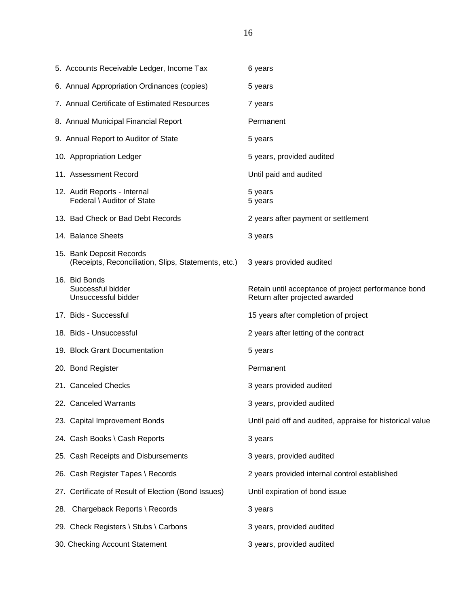| 5. Accounts Receivable Ledger, Income Tax                                       | 6 years                                                                               |
|---------------------------------------------------------------------------------|---------------------------------------------------------------------------------------|
| 6. Annual Appropriation Ordinances (copies)                                     | 5 years                                                                               |
| 7. Annual Certificate of Estimated Resources                                    | 7 years                                                                               |
| 8. Annual Municipal Financial Report                                            | Permanent                                                                             |
| 9. Annual Report to Auditor of State                                            | 5 years                                                                               |
| 10. Appropriation Ledger                                                        | 5 years, provided audited                                                             |
| 11. Assessment Record                                                           | Until paid and audited                                                                |
| 12. Audit Reports - Internal<br>Federal \ Auditor of State                      | 5 years<br>5 years                                                                    |
| 13. Bad Check or Bad Debt Records                                               | 2 years after payment or settlement                                                   |
| 14. Balance Sheets                                                              | 3 years                                                                               |
| 15. Bank Deposit Records<br>(Receipts, Reconciliation, Slips, Statements, etc.) | 3 years provided audited                                                              |
| 16. Bid Bonds<br>Successful bidder<br>Unsuccessful bidder                       | Retain until acceptance of project performance bond<br>Return after projected awarded |
| 17. Bids - Successful                                                           | 15 years after completion of project                                                  |
| 18. Bids - Unsuccessful                                                         | 2 years after letting of the contract                                                 |
| 19. Block Grant Documentation                                                   | 5 years                                                                               |
| 20. Bond Register                                                               | Permanent                                                                             |
| 21. Canceled Checks                                                             | 3 years provided audited                                                              |
| 22. Canceled Warrants                                                           | 3 years, provided audited                                                             |
| 23. Capital Improvement Bonds                                                   | Until paid off and audited, appraise for historical value                             |
| 24. Cash Books \ Cash Reports                                                   | 3 years                                                                               |
| 25. Cash Receipts and Disbursements                                             | 3 years, provided audited                                                             |
| 26. Cash Register Tapes \ Records                                               | 2 years provided internal control established                                         |
| 27. Certificate of Result of Election (Bond Issues)                             | Until expiration of bond issue                                                        |
| 28. Chargeback Reports \ Records                                                | 3 years                                                                               |
| 29. Check Registers \ Stubs \ Carbons                                           | 3 years, provided audited                                                             |
| 30. Checking Account Statement                                                  | 3 years, provided audited                                                             |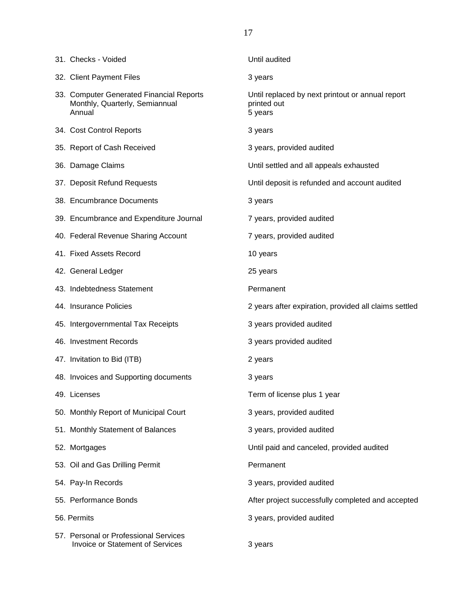| 31. Checks - Voided                                                                  | Until audited                                                              |
|--------------------------------------------------------------------------------------|----------------------------------------------------------------------------|
| 32. Client Payment Files                                                             | 3 years                                                                    |
| 33. Computer Generated Financial Reports<br>Monthly, Quarterly, Semiannual<br>Annual | Until replaced by next printout or annual report<br>printed out<br>5 years |
| 34. Cost Control Reports                                                             | 3 years                                                                    |
| 35. Report of Cash Received                                                          | 3 years, provided audited                                                  |
| 36. Damage Claims                                                                    | Until settled and all appeals exhausted                                    |
| 37. Deposit Refund Requests                                                          | Until deposit is refunded and account audited                              |
| 38. Encumbrance Documents                                                            | 3 years                                                                    |
| 39. Encumbrance and Expenditure Journal                                              | 7 years, provided audited                                                  |
| 40. Federal Revenue Sharing Account                                                  | 7 years, provided audited                                                  |
| 41. Fixed Assets Record                                                              | 10 years                                                                   |
| 42. General Ledger                                                                   | 25 years                                                                   |
| 43. Indebtedness Statement                                                           | Permanent                                                                  |
| 44. Insurance Policies                                                               | 2 years after expiration, provided all claims settled                      |
| 45. Intergovernmental Tax Receipts                                                   | 3 years provided audited                                                   |
| 46. Investment Records                                                               | 3 years provided audited                                                   |
| 47. Invitation to Bid (ITB)                                                          | 2 years                                                                    |
| 48. Invoices and Supporting documents                                                | 3 years                                                                    |
| 49. Licenses                                                                         | Term of license plus 1 year                                                |
| 50. Monthly Report of Municipal Court                                                | 3 years, provided audited                                                  |
| 51. Monthly Statement of Balances                                                    | 3 years, provided audited                                                  |
| 52. Mortgages                                                                        | Until paid and canceled, provided audited                                  |
| 53. Oil and Gas Drilling Permit                                                      | Permanent                                                                  |
| 54. Pay-In Records                                                                   | 3 years, provided audited                                                  |
| 55. Performance Bonds                                                                | After project successfully completed and accepted                          |
| 56. Permits                                                                          | 3 years, provided audited                                                  |
| 57. Personal or Professional Services<br><b>Invoice or Statement of Services</b>     | 3 years                                                                    |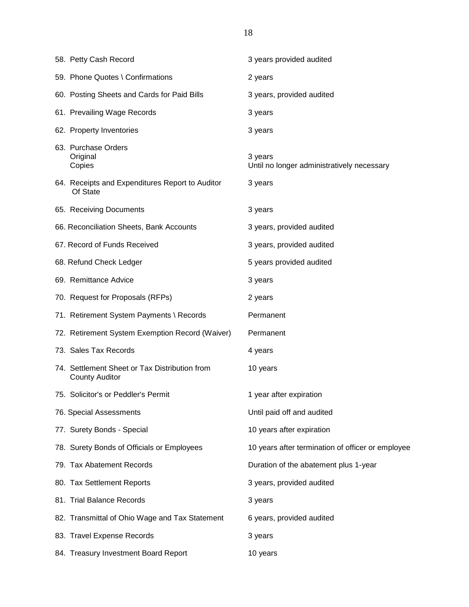| 58. Petty Cash Record                                                  | 3 years provided audited                              |
|------------------------------------------------------------------------|-------------------------------------------------------|
| 59. Phone Quotes \ Confirmations                                       | 2 years                                               |
| 60. Posting Sheets and Cards for Paid Bills                            | 3 years, provided audited                             |
| 61. Prevailing Wage Records                                            | 3 years                                               |
| 62. Property Inventories                                               | 3 years                                               |
| 63. Purchase Orders<br>Original<br>Copies                              | 3 years<br>Until no longer administratively necessary |
| 64. Receipts and Expenditures Report to Auditor<br>Of State            | 3 years                                               |
| 65. Receiving Documents                                                | 3 years                                               |
| 66. Reconciliation Sheets, Bank Accounts                               | 3 years, provided audited                             |
| 67. Record of Funds Received                                           | 3 years, provided audited                             |
| 68. Refund Check Ledger                                                | 5 years provided audited                              |
| 69. Remittance Advice                                                  | 3 years                                               |
| 70. Request for Proposals (RFPs)                                       | 2 years                                               |
| 71. Retirement System Payments \ Records                               | Permanent                                             |
| 72. Retirement System Exemption Record (Waiver)                        | Permanent                                             |
| 73. Sales Tax Records                                                  | 4 years                                               |
| 74. Settlement Sheet or Tax Distribution from<br><b>County Auditor</b> | 10 years                                              |
| 75. Solicitor's or Peddler's Permit                                    | 1 year after expiration                               |
| 76. Special Assessments                                                | Until paid off and audited                            |
| 77. Surety Bonds - Special                                             | 10 years after expiration                             |
| 78. Surety Bonds of Officials or Employees                             | 10 years after termination of officer or employee     |
| 79. Tax Abatement Records                                              | Duration of the abatement plus 1-year                 |
| 80. Tax Settlement Reports                                             | 3 years, provided audited                             |
| 81. Trial Balance Records                                              | 3 years                                               |
| 82. Transmittal of Ohio Wage and Tax Statement                         | 6 years, provided audited                             |
| 83. Travel Expense Records                                             | 3 years                                               |
| 84. Treasury Investment Board Report                                   | 10 years                                              |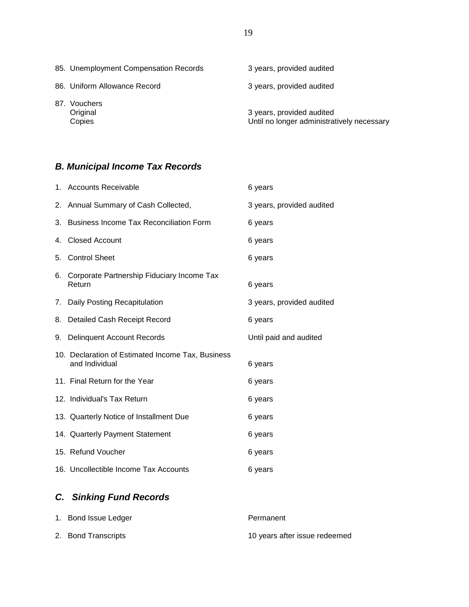| 85. Unemployment Compensation Records | 3 years, provided audited                                               |
|---------------------------------------|-------------------------------------------------------------------------|
| 86. Uniform Allowance Record          | 3 years, provided audited                                               |
| 87. Vouchers<br>Original<br>Copies    | 3 years, provided audited<br>Until no longer administratively necessary |

# *B. Municipal Income Tax Records*

|    | 1. Accounts Receivable                                              | 6 years                   |
|----|---------------------------------------------------------------------|---------------------------|
|    | 2. Annual Summary of Cash Collected,                                | 3 years, provided audited |
| 3. | <b>Business Income Tax Reconciliation Form</b>                      | 6 years                   |
| 4. | <b>Closed Account</b>                                               | 6 years                   |
| 5. | <b>Control Sheet</b>                                                | 6 years                   |
| 6. | Corporate Partnership Fiduciary Income Tax<br>Return                | 6 years                   |
|    | 7. Daily Posting Recapitulation                                     | 3 years, provided audited |
| 8. | <b>Detailed Cash Receipt Record</b>                                 | 6 years                   |
|    |                                                                     |                           |
|    | 9. Delinquent Account Records                                       | Until paid and audited    |
|    | 10. Declaration of Estimated Income Tax, Business<br>and Individual | 6 years                   |
|    | 11. Final Return for the Year                                       | 6 years                   |
|    | 12. Individual's Tax Return                                         | 6 years                   |
|    | 13. Quarterly Notice of Installment Due                             | 6 years                   |
|    | 14. Quarterly Payment Statement                                     | 6 years                   |
|    | 15. Refund Voucher                                                  | 6 years                   |

# *C. Sinking Fund Records*

| 1. Bond Issue Ledger | Permanent                     |
|----------------------|-------------------------------|
| 2. Bond Transcripts  | 10 years after issue redeemed |

19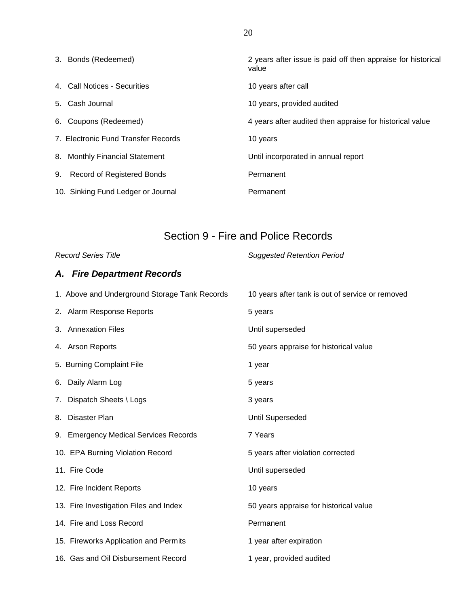| 3. Bonds (Redeemed)                 | 2 years after issue is paid off then appraise for historical<br>value |
|-------------------------------------|-----------------------------------------------------------------------|
| 4 Call Notices - Securities         | 10 years after call                                                   |
| 5. Cash Journal                     | 10 years, provided audited                                            |
| 6. Coupons (Redeemed)               | 4 years after audited then appraise for historical value              |
| 7. Electronic Fund Transfer Records | 10 years                                                              |
| 8. Monthly Financial Statement      | Until incorporated in annual report                                   |
| 9. Record of Registered Bonds       | Permanent                                                             |
| 10. Sinking Fund Ledger or Journal  | Permanent                                                             |

# Section 9 - Fire and Police Records

*Record Series Title Suggested Retention Period*

### *A. Fire Department Records*

|    | 1. Above and Underground Storage Tank Records | 10 years after tank is out of service or removed |
|----|-----------------------------------------------|--------------------------------------------------|
|    | 2. Alarm Response Reports                     | 5 years                                          |
|    | 3. Annexation Files                           | Until superseded                                 |
|    | 4. Arson Reports                              | 50 years appraise for historical value           |
|    | 5. Burning Complaint File                     | 1 year                                           |
|    | 6. Daily Alarm Log                            | 5 years                                          |
|    | 7. Dispatch Sheets \ Logs                     | 3 years                                          |
| 8. | Disaster Plan                                 | <b>Until Superseded</b>                          |
|    | 9. Emergency Medical Services Records         | 7 Years                                          |
|    | 10. EPA Burning Violation Record              | 5 years after violation corrected                |
|    | 11. Fire Code                                 | Until superseded                                 |
|    | 12. Fire Incident Reports                     | 10 years                                         |
|    | 13. Fire Investigation Files and Index        | 50 years appraise for historical value           |
|    | 14. Fire and Loss Record                      | Permanent                                        |
|    | 15. Fireworks Application and Permits         | 1 year after expiration                          |
|    | 16. Gas and Oil Disbursement Record           | 1 year, provided audited                         |

20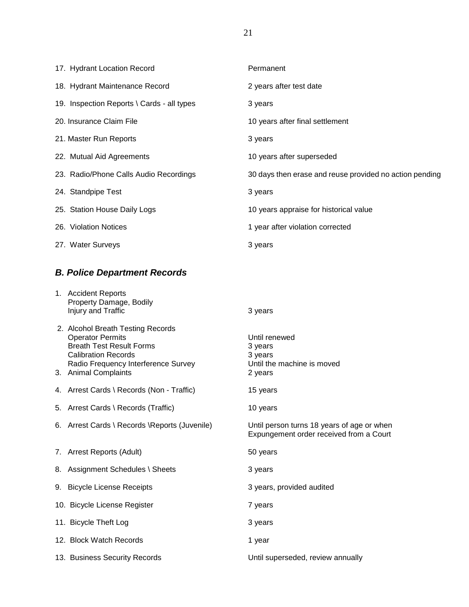| 17. Hydrant Location Record                | Permanent                                               |
|--------------------------------------------|---------------------------------------------------------|
| 18. Hydrant Maintenance Record             | 2 years after test date                                 |
| 19. Inspection Reports \ Cards - all types | 3 years                                                 |
| 20. Insurance Claim File                   | 10 years after final settlement                         |
| 21. Master Run Reports                     | 3 years                                                 |
| 22. Mutual Aid Agreements                  | 10 years after superseded                               |
| 23. Radio/Phone Calls Audio Recordings     | 30 days then erase and reuse provided no action pending |
| 24. Standpipe Test                         | 3 years                                                 |
| 25. Station House Daily Logs               | 10 years appraise for historical value                  |
| 26. Violation Notices                      | 1 year after violation corrected                        |
| 27. Water Surveys                          | 3 years                                                 |

# *B. Police Department Records*

| 1. Accident Reports<br>Property Damage, Bodily<br>Injury and Traffic                                                                                                                         | 3 years                                                                               |
|----------------------------------------------------------------------------------------------------------------------------------------------------------------------------------------------|---------------------------------------------------------------------------------------|
| 2. Alcohol Breath Testing Records<br><b>Operator Permits</b><br><b>Breath Test Result Forms</b><br><b>Calibration Records</b><br>Radio Frequency Interference Survey<br>3. Animal Complaints | Until renewed<br>3 years<br>3 years<br>Until the machine is moved<br>2 years          |
| 4. Arrest Cards \ Records (Non - Traffic)                                                                                                                                                    | 15 years                                                                              |
| 5. Arrest Cards \ Records (Traffic)                                                                                                                                                          | 10 years                                                                              |
| 6. Arrest Cards \ Records \ Reports (Juvenile)                                                                                                                                               | Until person turns 18 years of age or when<br>Expungement order received from a Court |
| 7. Arrest Reports (Adult)                                                                                                                                                                    | 50 years                                                                              |
| 8. Assignment Schedules \ Sheets                                                                                                                                                             | 3 years                                                                               |
| 9. Bicycle License Receipts                                                                                                                                                                  | 3 years, provided audited                                                             |
| 10. Bicycle License Register                                                                                                                                                                 | 7 years                                                                               |
| 11. Bicycle Theft Log                                                                                                                                                                        | 3 years                                                                               |
| 12. Block Watch Records                                                                                                                                                                      | 1 year                                                                                |
| 13. Business Security Records                                                                                                                                                                | Until superseded, review annually                                                     |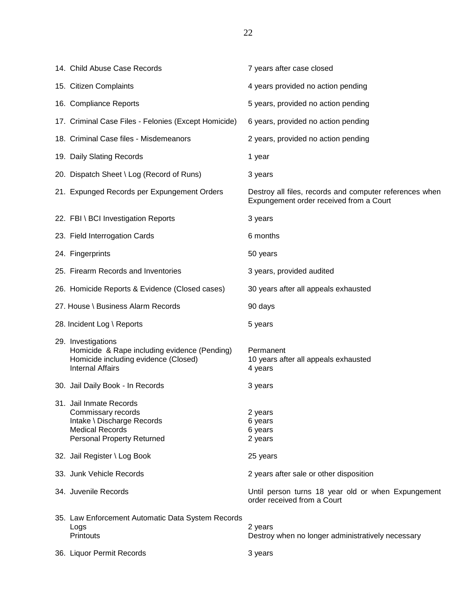| 14. Child Abuse Case Records                                                                                                               | 7 years after case closed                                                                          |
|--------------------------------------------------------------------------------------------------------------------------------------------|----------------------------------------------------------------------------------------------------|
| 15. Citizen Complaints                                                                                                                     | 4 years provided no action pending                                                                 |
| 16. Compliance Reports                                                                                                                     | 5 years, provided no action pending                                                                |
| 17. Criminal Case Files - Felonies (Except Homicide)                                                                                       | 6 years, provided no action pending                                                                |
| 18. Criminal Case files - Misdemeanors                                                                                                     | 2 years, provided no action pending                                                                |
| 19. Daily Slating Records                                                                                                                  | 1 year                                                                                             |
| 20. Dispatch Sheet \ Log (Record of Runs)                                                                                                  | 3 years                                                                                            |
| 21. Expunged Records per Expungement Orders                                                                                                | Destroy all files, records and computer references when<br>Expungement order received from a Court |
| 22. FBI \ BCI Investigation Reports                                                                                                        | 3 years                                                                                            |
| 23. Field Interrogation Cards                                                                                                              | 6 months                                                                                           |
| 24. Fingerprints                                                                                                                           | 50 years                                                                                           |
| 25. Firearm Records and Inventories                                                                                                        | 3 years, provided audited                                                                          |
| 26. Homicide Reports & Evidence (Closed cases)                                                                                             | 30 years after all appeals exhausted                                                               |
| 27. House \ Business Alarm Records                                                                                                         | 90 days                                                                                            |
| 28. Incident Log \ Reports                                                                                                                 | 5 years                                                                                            |
| 29. Investigations<br>Homicide & Rape including evidence (Pending)<br>Homicide including evidence (Closed)<br><b>Internal Affairs</b>      | Permanent<br>10 years after all appeals exhausted<br>4 years                                       |
| 30. Jail Daily Book - In Records                                                                                                           | 3 years                                                                                            |
| 31. Jail Inmate Records<br>Commissary records<br>Intake \ Discharge Records<br><b>Medical Records</b><br><b>Personal Property Returned</b> | 2 years<br>6 years<br>6 years<br>2 years                                                           |
| 32. Jail Register \ Log Book                                                                                                               | 25 years                                                                                           |
| 33. Junk Vehicle Records                                                                                                                   | 2 years after sale or other disposition                                                            |
| 34. Juvenile Records                                                                                                                       | Until person turns 18 year old or when Expungement<br>order received from a Court                  |
| 35. Law Enforcement Automatic Data System Records<br>Logs<br>Printouts                                                                     | 2 years<br>Destroy when no longer administratively necessary                                       |
| 36. Liquor Permit Records                                                                                                                  | 3 years                                                                                            |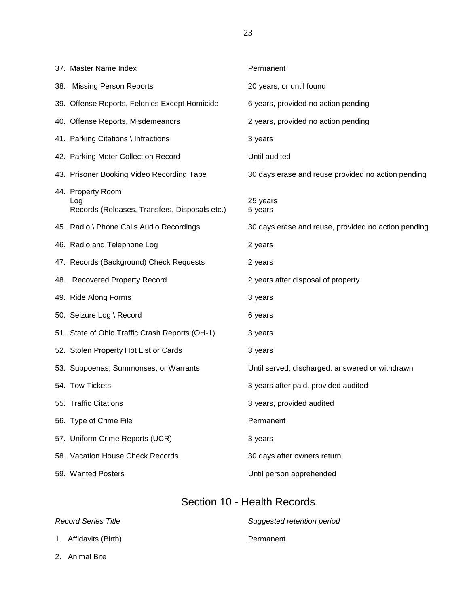37. Master Name Index **Permanent** 38. Missing Person Reports 20 years, or until found 39. Offense Reports, Felonies Except Homicide 6 years, provided no action pending 40. Offense Reports, Misdemeanors 2 years, provided no action pending 41. Parking Citations \ Infractions 3 years 42. Parking Meter Collection Record Until audited 43. Prisoner Booking Video Recording Tape 30 days erase and reuse provided no action pending 44. Property Room Log 25 years Records (Releases, Transfers, Disposals etc.) 5 years 45. Radio \ Phone Calls Audio Recordings 30 days erase and reuse, provided no action pending 46. Radio and Telephone Log 2 years 47. Records (Background) Check Requests 2 years 48. Recovered Property Record 2 years after disposal of property 49. Ride Along Forms 3 years 50. Seizure Log \ Record 6 years 51. State of Ohio Traffic Crash Reports (OH-1) 3 years 52. Stolen Property Hot List or Cards 3 years 53. Subpoenas, Summonses, or Warrants Until served, discharged, answered or withdrawn 54. Tow Tickets **3** years after paid, provided audited 55. Traffic Citations **3** years, provided audited 56. Type of Crime File **Permanent** 57. Uniform Crime Reports (UCR) 3 years 58. Vacation House Check Records 30 days after owners return

### Section 10 - Health Records

59. Wanted Posters Until person apprehended

- 1. Affidavits (Birth) **Permanent**
- *Record Series Title Suggested retention period*
- 2. Animal Bite

23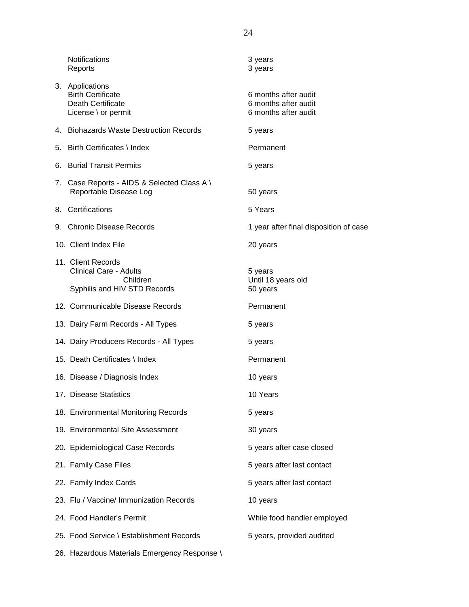| <b>Notifications</b><br>Reports                                                                 | 3 years<br>3 years                                                   |
|-------------------------------------------------------------------------------------------------|----------------------------------------------------------------------|
| 3. Applications<br><b>Birth Certificate</b><br>Death Certificate<br>License \ or permit         | 6 months after audit<br>6 months after audit<br>6 months after audit |
| 4. Biohazards Waste Destruction Records                                                         | 5 years                                                              |
| 5. Birth Certificates \ Index                                                                   | Permanent                                                            |
| 6. Burial Transit Permits                                                                       | 5 years                                                              |
| 7. Case Reports - AIDS & Selected Class A \<br>Reportable Disease Log                           | 50 years                                                             |
| 8. Certifications                                                                               | 5 Years                                                              |
| 9. Chronic Disease Records                                                                      | 1 year after final disposition of case                               |
| 10. Client Index File                                                                           | 20 years                                                             |
| 11. Client Records<br><b>Clinical Care - Adults</b><br>Children<br>Syphilis and HIV STD Records | 5 years<br>Until 18 years old<br>50 years                            |
| 12. Communicable Disease Records                                                                | Permanent                                                            |
| 13. Dairy Farm Records - All Types                                                              | 5 years                                                              |
| 14. Dairy Producers Records - All Types                                                         | 5 years                                                              |
| 15. Death Certificates \ Index                                                                  | Permanent                                                            |
| 16. Disease / Diagnosis Index                                                                   | 10 years                                                             |
| 17. Disease Statistics                                                                          | 10 Years                                                             |
| 18. Environmental Monitoring Records                                                            | 5 years                                                              |
| 19. Environmental Site Assessment                                                               | 30 years                                                             |
| 20. Epidemiological Case Records                                                                | 5 years after case closed                                            |
| 21. Family Case Files                                                                           | 5 years after last contact                                           |
| 22. Family Index Cards                                                                          | 5 years after last contact                                           |
| 23. Flu / Vaccine/ Immunization Records                                                         | 10 years                                                             |
| 24. Food Handler's Permit                                                                       | While food handler employed                                          |
| 25. Food Service \ Establishment Records                                                        | 5 years, provided audited                                            |
| 26. Hazardous Materials Emergency Response \                                                    |                                                                      |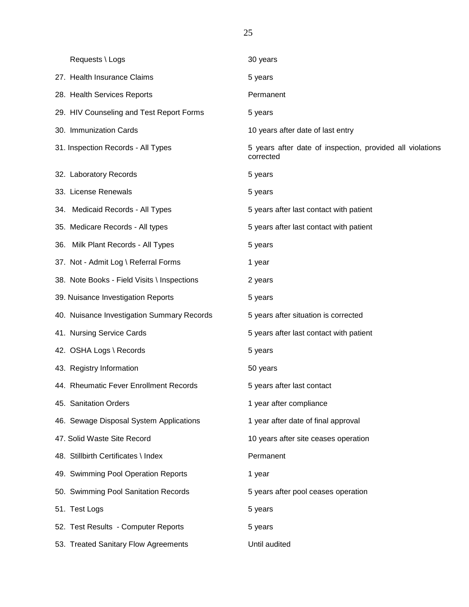| Requests \ Logs                             | 30 years                                                               |
|---------------------------------------------|------------------------------------------------------------------------|
| 27. Health Insurance Claims                 | 5 years                                                                |
| 28. Health Services Reports                 | Permanent                                                              |
| 29. HIV Counseling and Test Report Forms    | 5 years                                                                |
| 30. Immunization Cards                      | 10 years after date of last entry                                      |
| 31. Inspection Records - All Types          | 5 years after date of inspection, provided all violations<br>corrected |
| 32. Laboratory Records                      | 5 years                                                                |
| 33. License Renewals                        | 5 years                                                                |
| 34. Medicaid Records - All Types            | 5 years after last contact with patient                                |
| 35. Medicare Records - All types            | 5 years after last contact with patient                                |
| 36. Milk Plant Records - All Types          | 5 years                                                                |
| 37. Not - Admit Log \ Referral Forms        | 1 year                                                                 |
| 38. Note Books - Field Visits \ Inspections | 2 years                                                                |
| 39. Nuisance Investigation Reports          | 5 years                                                                |
| 40. Nuisance Investigation Summary Records  | 5 years after situation is corrected                                   |
| 41. Nursing Service Cards                   | 5 years after last contact with patient                                |
| 42. OSHA Logs \ Records                     | 5 years                                                                |
| 43. Registry Information                    | 50 years                                                               |
| 44. Rheumatic Fever Enrollment Records      | 5 years after last contact                                             |
| 45. Sanitation Orders                       | 1 year after compliance                                                |
| 46. Sewage Disposal System Applications     | 1 year after date of final approval                                    |
| 47. Solid Waste Site Record                 | 10 years after site ceases operation                                   |
| 48. Stillbirth Certificates \ Index         | Permanent                                                              |
| 49. Swimming Pool Operation Reports         | 1 year                                                                 |
| 50. Swimming Pool Sanitation Records        | 5 years after pool ceases operation                                    |
| 51. Test Logs                               | 5 years                                                                |
| 52. Test Results - Computer Reports         | 5 years                                                                |
| 53. Treated Sanitary Flow Agreements        | Until audited                                                          |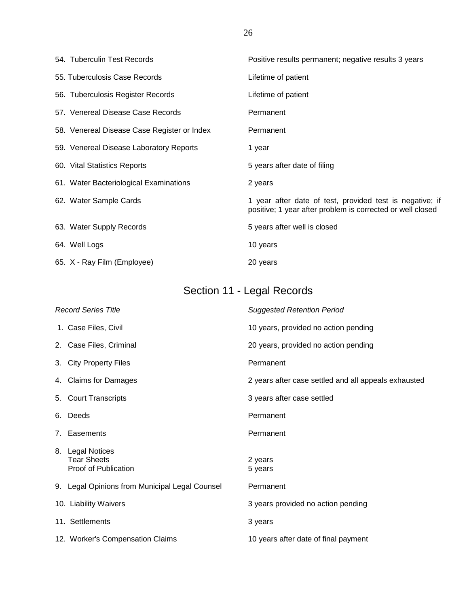| 54. Tuberculin Test Records                 | Positive results permanent; negative results 3 years                                                                   |
|---------------------------------------------|------------------------------------------------------------------------------------------------------------------------|
| 55. Tuberculosis Case Records               | Lifetime of patient                                                                                                    |
| 56. Tuberculosis Register Records           | Lifetime of patient                                                                                                    |
| 57. Venereal Disease Case Records           | Permanent                                                                                                              |
| 58. Venereal Disease Case Register or Index | Permanent                                                                                                              |
| 59. Venereal Disease Laboratory Reports     | 1 year                                                                                                                 |
| 60. Vital Statistics Reports                | 5 years after date of filing                                                                                           |
| 61. Water Bacteriological Examinations      | 2 years                                                                                                                |
| 62. Water Sample Cards                      | 1 year after date of test, provided test is negative; if<br>positive; 1 year after problem is corrected or well closed |
| 63. Water Supply Records                    | 5 years after well is closed                                                                                           |
| 64. Well Logs                               | 10 years                                                                                                               |
| 65. X - Ray Film (Employee)                 | 20 years                                                                                                               |

# Section 11 - Legal Records

| <b>Record Series Title</b>                                     | <b>Suggested Retention Period</b>                    |
|----------------------------------------------------------------|------------------------------------------------------|
| 1. Case Files, Civil                                           | 10 years, provided no action pending                 |
| 2. Case Files, Criminal                                        | 20 years, provided no action pending                 |
| 3. City Property Files                                         | Permanent                                            |
| 4. Claims for Damages                                          | 2 years after case settled and all appeals exhausted |
| 5. Court Transcripts                                           | 3 years after case settled                           |
| 6. Deeds                                                       | Permanent                                            |
| 7. Easements                                                   | Permanent                                            |
| 8. Legal Notices<br><b>Tear Sheets</b><br>Proof of Publication | 2 years<br>5 years                                   |
| 9. Legal Opinions from Municipal Legal Counsel                 | Permanent                                            |
| 10. Liability Waivers                                          | 3 years provided no action pending                   |
| 11. Settlements                                                | 3 years                                              |
| 12. Worker's Compensation Claims                               | 10 years after date of final payment                 |

26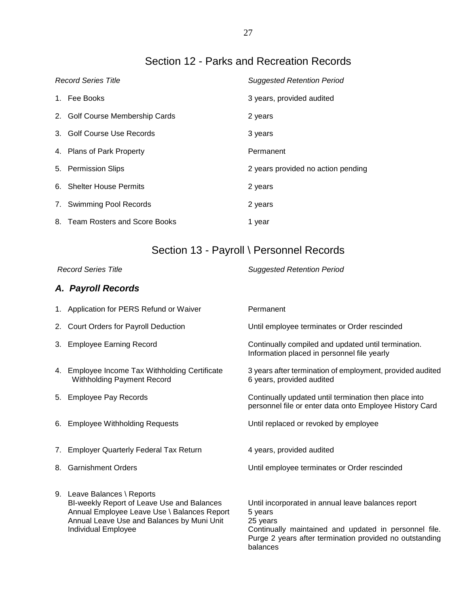# Section 12 - Parks and Recreation Records

| <b>Record Series Title</b>      | <b>Suggested Retention Period</b>  |
|---------------------------------|------------------------------------|
| 1. Fee Books                    | 3 years, provided audited          |
| 2. Golf Course Membership Cards | 2 years                            |
| 3. Golf Course Use Records      | 3 years                            |
| 4. Plans of Park Property       | Permanent                          |
| 5. Permission Slips             | 2 years provided no action pending |
| 6. Shelter House Permits        | 2 years                            |
| 7. Swimming Pool Records        | 2 years                            |
| 8. Team Rosters and Score Books | 1 year                             |

# Section 13 - Payroll \ Personnel Records

*Record Series Title Suggested Retention Period*

### *A. Payroll Records*

|    | 1. Application for PERS Refund or Waiver                                                                                                                                                      | Permanent                                                                                                                                                                                                 |
|----|-----------------------------------------------------------------------------------------------------------------------------------------------------------------------------------------------|-----------------------------------------------------------------------------------------------------------------------------------------------------------------------------------------------------------|
|    | 2. Court Orders for Payroll Deduction                                                                                                                                                         | Until employee terminates or Order rescinded                                                                                                                                                              |
|    | 3. Employee Earning Record                                                                                                                                                                    | Continually compiled and updated until termination.<br>Information placed in personnel file yearly                                                                                                        |
|    | 4. Employee Income Tax Withholding Certificate<br><b>Withholding Payment Record</b>                                                                                                           | 3 years after termination of employment, provided audited<br>6 years, provided audited                                                                                                                    |
|    | 5. Employee Pay Records                                                                                                                                                                       | Continually updated until termination then place into<br>personnel file or enter data onto Employee History Card                                                                                          |
| 6. | <b>Employee Withholding Requests</b>                                                                                                                                                          | Until replaced or revoked by employee                                                                                                                                                                     |
| 7. | <b>Employer Quarterly Federal Tax Return</b>                                                                                                                                                  | 4 years, provided audited                                                                                                                                                                                 |
|    | 8. Garnishment Orders                                                                                                                                                                         | Until employee terminates or Order rescinded                                                                                                                                                              |
|    | 9. Leave Balances \ Reports<br>BI-weekly Report of Leave Use and Balances<br>Annual Employee Leave Use \ Balances Report<br>Annual Leave Use and Balances by Muni Unit<br>Individual Employee | Until incorporated in annual leave balances report<br>5 years<br>25 years<br>Continually maintained and updated in personnel file.<br>Purge 2 years after termination provided no outstanding<br>balances |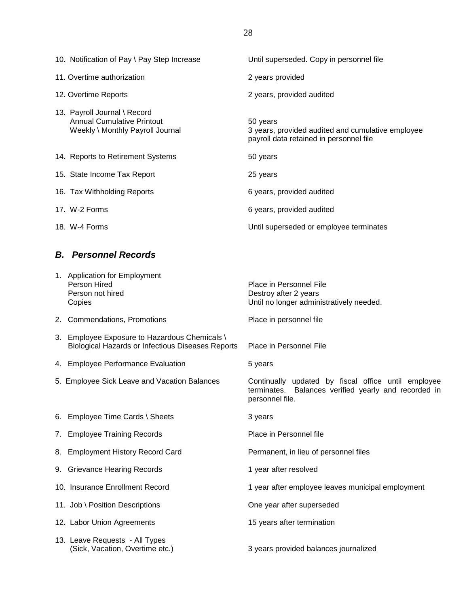| 10. Notification of Pay \ Pay Step Increase                                                    | Until superseded. Copy in personnel file                                                                 |
|------------------------------------------------------------------------------------------------|----------------------------------------------------------------------------------------------------------|
| 11. Overtime authorization                                                                     | 2 years provided                                                                                         |
| 12. Overtime Reports                                                                           | 2 years, provided audited                                                                                |
| 13. Payroll Journal \ Record<br>Annual Cumulative Printout<br>Weekly \ Monthly Payroll Journal | 50 years<br>3 years, provided audited and cumulative employee<br>payroll data retained in personnel file |
| 14. Reports to Retirement Systems                                                              | 50 years                                                                                                 |
| 15. State Income Tax Report                                                                    | 25 years                                                                                                 |
| 16. Tax Withholding Reports                                                                    | 6 years, provided audited                                                                                |
| 17. W-2 Forms                                                                                  | 6 years, provided audited                                                                                |
| 18. W-4 Forms                                                                                  | Until superseded or employee terminates                                                                  |

### *B. Personnel Records*

| 1. Application for Employment<br>Person Hired<br>Person not hired<br>Copies                               | Place in Personnel File<br>Destroy after 2 years<br>Until no longer administratively needed.                                   |
|-----------------------------------------------------------------------------------------------------------|--------------------------------------------------------------------------------------------------------------------------------|
| 2. Commendations, Promotions                                                                              | Place in personnel file                                                                                                        |
| 3. Employee Exposure to Hazardous Chemicals \<br><b>Biological Hazards or Infectious Diseases Reports</b> | Place in Personnel File                                                                                                        |
| 4. Employee Performance Evaluation                                                                        | 5 years                                                                                                                        |
| 5. Employee Sick Leave and Vacation Balances                                                              | Continually updated by fiscal office until employee<br>terminates. Balances verified yearly and recorded in<br>personnel file. |
| 6. Employee Time Cards \ Sheets                                                                           | 3 years                                                                                                                        |
| 7. Employee Training Records                                                                              | Place in Personnel file                                                                                                        |
| 8. Employment History Record Card                                                                         | Permanent, in lieu of personnel files                                                                                          |
| 9. Grievance Hearing Records                                                                              | 1 year after resolved                                                                                                          |
| 10. Insurance Enrollment Record                                                                           | 1 year after employee leaves municipal employment                                                                              |
| 11. Job \ Position Descriptions                                                                           | One year after superseded                                                                                                      |
| 12. Labor Union Agreements                                                                                | 15 years after termination                                                                                                     |
| 13. Leave Requests - All Types<br>(Sick, Vacation, Overtime etc.)                                         | 3 years provided balances journalized                                                                                          |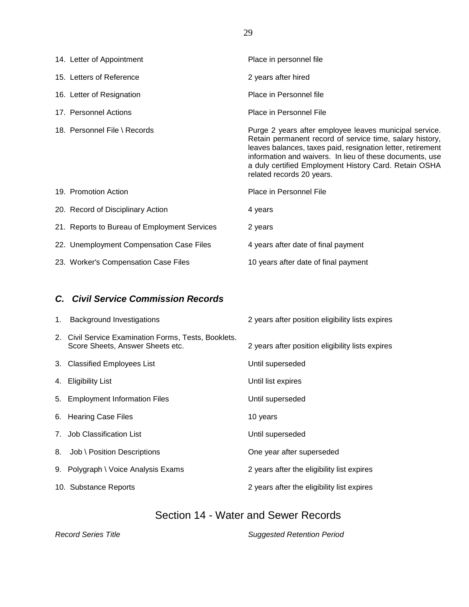| 14. Letter of Appointment                    | Place in personnel file                                                                                                                                                                                                                                                                                                             |
|----------------------------------------------|-------------------------------------------------------------------------------------------------------------------------------------------------------------------------------------------------------------------------------------------------------------------------------------------------------------------------------------|
| 15. Letters of Reference                     | 2 years after hired                                                                                                                                                                                                                                                                                                                 |
| 16. Letter of Resignation                    | Place in Personnel file                                                                                                                                                                                                                                                                                                             |
| 17. Personnel Actions                        | Place in Personnel File                                                                                                                                                                                                                                                                                                             |
| 18. Personnel File \ Records                 | Purge 2 years after employee leaves municipal service.<br>Retain permanent record of service time, salary history,<br>leaves balances, taxes paid, resignation letter, retirement<br>information and waivers. In lieu of these documents, use<br>a duly certified Employment History Card. Retain OSHA<br>related records 20 years. |
| 19. Promotion Action                         | Place in Personnel File                                                                                                                                                                                                                                                                                                             |
| 20. Record of Disciplinary Action            | 4 years                                                                                                                                                                                                                                                                                                                             |
| 21. Reports to Bureau of Employment Services | 2 years                                                                                                                                                                                                                                                                                                                             |
| 22. Unemployment Compensation Case Files     | 4 years after date of final payment                                                                                                                                                                                                                                                                                                 |
| 23. Worker's Compensation Case Files         | 10 years after date of final payment                                                                                                                                                                                                                                                                                                |

### *C. Civil Service Commission Records*

| 1. Background Investigations                                                             | 2 years after position eligibility lists expires |
|------------------------------------------------------------------------------------------|--------------------------------------------------|
| 2. Civil Service Examination Forms, Tests, Booklets.<br>Score Sheets, Answer Sheets etc. | 2 years after position eligibility lists expires |
| 3. Classified Employees List                                                             | Until superseded                                 |
| 4. Eligibility List                                                                      | Until list expires                               |
| 5. Employment Information Files                                                          | Until superseded                                 |
| 6. Hearing Case Files                                                                    | 10 years                                         |
| 7. Job Classification List                                                               | Until superseded                                 |
| 8. Job \ Position Descriptions                                                           | One year after superseded                        |
| 9. Polygraph \ Voice Analysis Exams                                                      | 2 years after the eligibility list expires       |
| 10. Substance Reports                                                                    | 2 years after the eligibility list expires       |

## Section 14 - Water and Sewer Records

*Record Series Title Suggested Retention Period*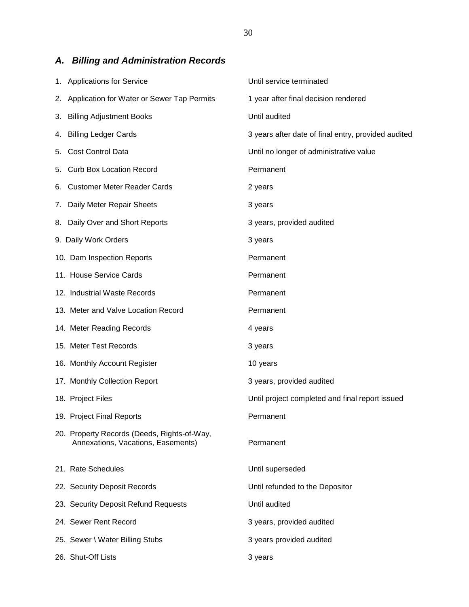# *A. Billing and Administration Records*

| 1. Applications for Service                                                       | Until service terminated                            |
|-----------------------------------------------------------------------------------|-----------------------------------------------------|
| 2. Application for Water or Sewer Tap Permits                                     | 1 year after final decision rendered                |
| 3. Billing Adjustment Books                                                       | Until audited                                       |
| 4. Billing Ledger Cards                                                           | 3 years after date of final entry, provided audited |
| 5. Cost Control Data                                                              | Until no longer of administrative value             |
| 5. Curb Box Location Record                                                       | Permanent                                           |
| 6. Customer Meter Reader Cards                                                    | 2 years                                             |
| 7. Daily Meter Repair Sheets                                                      | 3 years                                             |
| 8. Daily Over and Short Reports                                                   | 3 years, provided audited                           |
| 9. Daily Work Orders                                                              | 3 years                                             |
| 10. Dam Inspection Reports                                                        | Permanent                                           |
| 11. House Service Cards                                                           | Permanent                                           |
| 12. Industrial Waste Records                                                      | Permanent                                           |
| 13. Meter and Valve Location Record                                               | Permanent                                           |
| 14. Meter Reading Records                                                         | 4 years                                             |
| 15. Meter Test Records                                                            | 3 years                                             |
| 16. Monthly Account Register                                                      | 10 years                                            |
| 17. Monthly Collection Report                                                     | 3 years, provided audited                           |
| 18. Project Files                                                                 | Until project completed and final report issued     |
| 19. Project Final Reports                                                         | Permanent                                           |
| 20. Property Records (Deeds, Rights-of-Way,<br>Annexations, Vacations, Easements) | Permanent                                           |
| 21. Rate Schedules                                                                | Until superseded                                    |
| 22. Security Deposit Records                                                      | Until refunded to the Depositor                     |
| 23. Security Deposit Refund Requests                                              | Until audited                                       |
| 24. Sewer Rent Record                                                             | 3 years, provided audited                           |
| 25. Sewer \ Water Billing Stubs                                                   | 3 years provided audited                            |
| 26. Shut-Off Lists                                                                | 3 years                                             |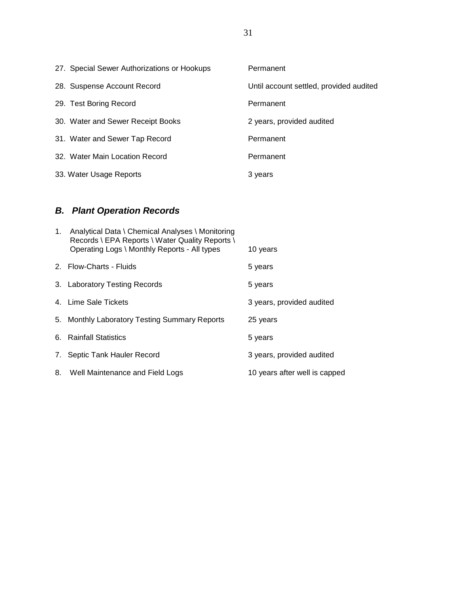| 27. Special Sewer Authorizations or Hookups | Permanent                               |
|---------------------------------------------|-----------------------------------------|
| 28. Suspense Account Record                 | Until account settled, provided audited |
| 29. Test Boring Record                      | Permanent                               |
| 30. Water and Sewer Receipt Books           | 2 years, provided audited               |
| 31. Water and Sewer Tap Record              | Permanent                               |
| 32. Water Main Location Record              | Permanent                               |
| 33. Water Usage Reports                     | 3 years                                 |

## *B. Plant Operation Records*

| 1. | Analytical Data \ Chemical Analyses \ Monitoring<br>Records \ EPA Reports \ Water Quality Reports \ |                               |
|----|-----------------------------------------------------------------------------------------------------|-------------------------------|
|    | Operating Logs \ Monthly Reports - All types                                                        | 10 years                      |
|    | 2. Flow-Charts - Fluids                                                                             | 5 years                       |
|    | 3. Laboratory Testing Records                                                                       | 5 years                       |
|    | 4. Lime Sale Tickets                                                                                | 3 years, provided audited     |
|    | 5. Monthly Laboratory Testing Summary Reports                                                       | 25 years                      |
|    | 6. Rainfall Statistics                                                                              | 5 years                       |
|    | 7. Septic Tank Hauler Record                                                                        | 3 years, provided audited     |
|    | 8. Well Maintenance and Field Logs                                                                  | 10 years after well is capped |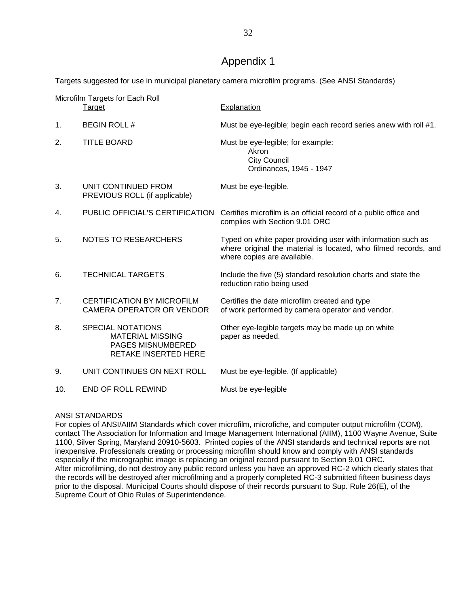### Appendix 1

Targets suggested for use in municipal planetary camera microfilm programs. (See ANSI Standards)

| Microfilm Targets for Each Roll |                                                                                                  |                                                                                                                                                                |  |
|---------------------------------|--------------------------------------------------------------------------------------------------|----------------------------------------------------------------------------------------------------------------------------------------------------------------|--|
|                                 | <b>Target</b>                                                                                    | Explanation                                                                                                                                                    |  |
| 1.                              | <b>BEGIN ROLL#</b>                                                                               | Must be eye-legible; begin each record series anew with roll #1.                                                                                               |  |
| 2.                              | <b>TITLE BOARD</b>                                                                               | Must be eye-legible; for example:<br>Akron<br><b>City Council</b><br>Ordinances, 1945 - 1947                                                                   |  |
| 3.                              | UNIT CONTINUED FROM<br>PREVIOUS ROLL (if applicable)                                             | Must be eye-legible.                                                                                                                                           |  |
| 4.                              |                                                                                                  | PUBLIC OFFICIAL'S CERTIFICATION Certifies microfilm is an official record of a public office and<br>complies with Section 9.01 ORC                             |  |
| 5.                              | <b>NOTES TO RESEARCHERS</b>                                                                      | Typed on white paper providing user with information such as<br>where original the material is located, who filmed records, and<br>where copies are available. |  |
| 6.                              | <b>TECHNICAL TARGETS</b>                                                                         | Include the five (5) standard resolution charts and state the<br>reduction ratio being used                                                                    |  |
| 7.                              | <b>CERTIFICATION BY MICROFILM</b><br>CAMERA OPERATOR OR VENDOR                                   | Certifies the date microfilm created and type<br>of work performed by camera operator and vendor.                                                              |  |
| 8.                              | <b>SPECIAL NOTATIONS</b><br><b>MATERIAL MISSING</b><br>PAGES MISNUMBERED<br>RETAKE INSERTED HERE | Other eye-legible targets may be made up on white<br>paper as needed.                                                                                          |  |
| 9.                              | UNIT CONTINUES ON NEXT ROLL                                                                      | Must be eye-legible. (If applicable)                                                                                                                           |  |
| 10.                             | <b>END OF ROLL REWIND</b>                                                                        | Must be eye-legible                                                                                                                                            |  |

#### ANSI STANDARDS

For copies of ANSI/AIIM Standards which cover microfilm, microfiche, and computer output microfilm (COM), contact The Association for Information and Image Management International (AIIM), 1100 Wayne Avenue, Suite 1100, Silver Spring, Maryland 20910-5603. Printed copies of the ANSI standards and technical reports are not inexpensive. Professionals creating or processing microfilm should know and comply with ANSI standards especially if the micrographic image is replacing an original record pursuant to Section 9.01 ORC. After microfilming, do not destroy any public record unless you have an approved RC-2 which clearly states that the records will be destroyed after microfilming and a properly completed RC-3 submitted fifteen business days prior to the disposal. Municipal Courts should dispose of their records pursuant to Sup. Rule 26(E), of the Supreme Court of Ohio Rules of Superintendence.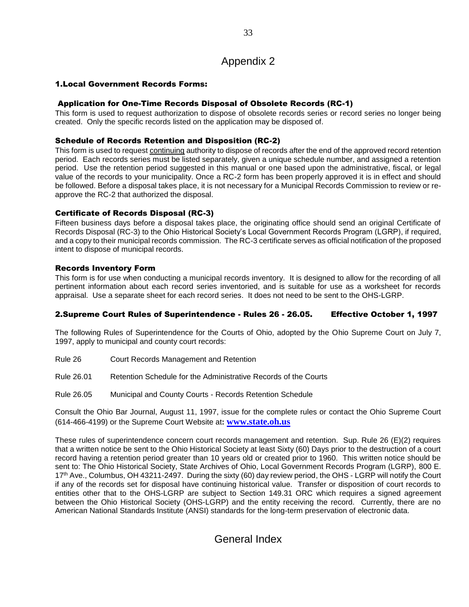### Appendix 2

#### 1.Local Government Records Forms:

#### Application for One-Time Records Disposal of Obsolete Records (RC-1)

This form is used to request authorization to dispose of obsolete records series or record series no longer being created. Only the specific records listed on the application may be disposed of.

#### Schedule of Records Retention and Disposition (RC-2)

This form is used to request continuing authority to dispose of records after the end of the approved record retention period. Each records series must be listed separately, given a unique schedule number, and assigned a retention period. Use the retention period suggested in this manual or one based upon the administrative, fiscal, or legal value of the records to your municipality. Once a RC-2 form has been properly approved it is in effect and should be followed. Before a disposal takes place, it is not necessary for a Municipal Records Commission to review or reapprove the RC-2 that authorized the disposal.

#### Certificate of Records Disposal (RC-3)

Fifteen business days before a disposal takes place, the originating office should send an original Certificate of Records Disposal (RC-3) to the Ohio Historical Society's Local Government Records Program (LGRP), if required, and a copy to their municipal records commission. The RC-3 certificate serves as official notification of the proposed intent to dispose of municipal records.

#### Records Inventory Form

This form is for use when conducting a municipal records inventory. It is designed to allow for the recording of all pertinent information about each record series inventoried, and is suitable for use as a worksheet for records appraisal. Use a separate sheet for each record series. It does not need to be sent to the OHS-LGRP.

#### 2.Supreme Court Rules of Superintendence - Rules 26 - 26.05. Effective October 1, 1997

The following Rules of Superintendence for the Courts of Ohio, adopted by the Ohio Supreme Court on July 7, 1997, apply to municipal and county court records:

- Rule 26 Court Records Management and Retention
- Rule 26.01 Retention Schedule for the Administrative Records of the Courts
- Rule 26.05 Municipal and County Courts Records Retention Schedule

Consult the Ohio Bar Journal, August 11, 1997, issue for the complete rules or contact the Ohio Supreme Court (614-466-4199) or the Supreme Court Website at**: [www.state.oh.us](http://www.state.oh.us/)**

These rules of superintendence concern court records management and retention. Sup. Rule 26 (E)(2) requires that a written notice be sent to the Ohio Historical Society at least Sixty (60) Days prior to the destruction of a court record having a retention period greater than 10 years old or created prior to 1960. This written notice should be sent to: The Ohio Historical Society, State Archives of Ohio, Local Government Records Program (LGRP), 800 E. 17<sup>th</sup> Ave., Columbus, OH 43211-2497. During the sixty (60) day review period, the OHS - LGRP will notify the Court if any of the records set for disposal have continuing historical value. Transfer or disposition of court records to entities other that to the OHS-LGRP are subject to Section 149.31 ORC which requires a signed agreement between the Ohio Historical Society (OHS-LGRP) and the entity receiving the record. Currently, there are no American National Standards Institute (ANSI) standards for the long-term preservation of electronic data.

### General Index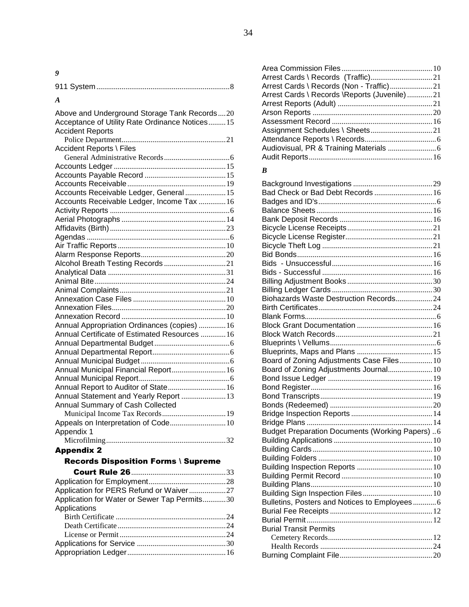*9*

| A                                              |
|------------------------------------------------|
| Above and Underground Storage Tank Records20   |
| Acceptance of Utility Rate Ordinance Notices15 |
| <b>Accident Reports</b>                        |
|                                                |
| Accident Reports \ Files                       |
|                                                |
|                                                |
|                                                |
|                                                |
| Accounts Receivable Ledger, General  15        |
| Accounts Receivable Ledger, Income Tax 16      |
|                                                |
|                                                |
|                                                |
|                                                |
|                                                |
| Alcohol Breath Testing Records 21              |
|                                                |
|                                                |
|                                                |
|                                                |
|                                                |
|                                                |
| Annual Appropriation Ordinances (copies)  16   |
| Annual Certificate of Estimated Resources  16  |
|                                                |
|                                                |
|                                                |
| Annual Municipal Financial Report 16           |
|                                                |
| Annual Report to Auditor of State 16           |
| Annual Statement and Yearly Report  13         |
| Annual Summary of Cash Collected               |
|                                                |
| Appeals on Interpretation of Code 10           |
| Appendix 1                                     |
|                                                |
| <b>Appendix 2</b>                              |

### Records Disposition Forms \ Supreme

| Application for PERS Refund or Waiver27      |  |
|----------------------------------------------|--|
| Application for Water or Sewer Tap Permits30 |  |
| Applications                                 |  |
|                                              |  |
|                                              |  |
|                                              |  |
|                                              |  |
|                                              |  |
|                                              |  |

| Arrest Cards \ Records (Non - Traffic)21       |  |
|------------------------------------------------|--|
| Arrest Cards \ Records \ Reports (Juvenile) 21 |  |
|                                                |  |
|                                                |  |
|                                                |  |
|                                                |  |
|                                                |  |
|                                                |  |
|                                                |  |
|                                                |  |

### *B*

| Bad Check or Bad Debt Records  16               |  |
|-------------------------------------------------|--|
|                                                 |  |
|                                                 |  |
|                                                 |  |
|                                                 |  |
|                                                 |  |
|                                                 |  |
|                                                 |  |
|                                                 |  |
|                                                 |  |
|                                                 |  |
|                                                 |  |
| Biohazards Waste Destruction Records24          |  |
|                                                 |  |
|                                                 |  |
|                                                 |  |
|                                                 |  |
|                                                 |  |
|                                                 |  |
| Board of Zoning Adjustments Case Files 10       |  |
| Board of Zoning Adjustments Journal 10          |  |
|                                                 |  |
|                                                 |  |
|                                                 |  |
|                                                 |  |
|                                                 |  |
|                                                 |  |
| Budget Preparation Documents (Working Papers) 6 |  |
|                                                 |  |
|                                                 |  |
|                                                 |  |
|                                                 |  |
|                                                 |  |
|                                                 |  |
|                                                 |  |
|                                                 |  |
| Bulletins, Posters and Notices to Employees6    |  |
|                                                 |  |
|                                                 |  |
| <b>Burial Transit Permits</b>                   |  |
|                                                 |  |
|                                                 |  |
|                                                 |  |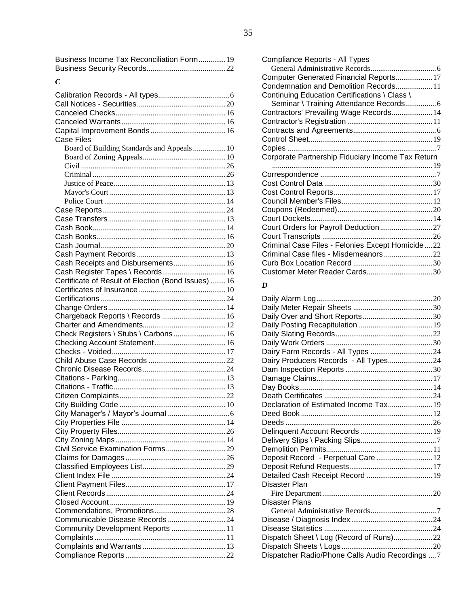Business Income Tax Reconciliation Form..............19 Business Security Records.........................................22

#### *C*

| <b>Case Files</b>                                   |  |
|-----------------------------------------------------|--|
| Board of Building Standards and Appeals 10          |  |
|                                                     |  |
|                                                     |  |
|                                                     |  |
|                                                     |  |
|                                                     |  |
|                                                     |  |
|                                                     |  |
|                                                     |  |
|                                                     |  |
|                                                     |  |
|                                                     |  |
|                                                     |  |
| Cash Receipts and Disbursements 16                  |  |
| Cash Register Tapes \ Records 16                    |  |
| Certificate of Result of Election (Bond Issues)  16 |  |
|                                                     |  |
|                                                     |  |
|                                                     |  |
| Chargeback Reports \ Records  16                    |  |
|                                                     |  |
| Check Registers \ Stubs \ Carbons  16               |  |
|                                                     |  |
|                                                     |  |
|                                                     |  |
|                                                     |  |
|                                                     |  |
|                                                     |  |
|                                                     |  |
|                                                     |  |
|                                                     |  |
|                                                     |  |
|                                                     |  |
|                                                     |  |
|                                                     |  |
|                                                     |  |
|                                                     |  |
|                                                     |  |
|                                                     |  |
|                                                     |  |
|                                                     |  |
|                                                     |  |
| Communicable Disease Records24                      |  |
| Community Development Reports 11                    |  |
|                                                     |  |
|                                                     |  |
|                                                     |  |

| Compliance Reports - All Types                     |  |
|----------------------------------------------------|--|
|                                                    |  |
| Computer Generated Financial Reports 17            |  |
| Condemnation and Demolition Records 11             |  |
| Continuing Education Certifications \ Class \      |  |
| Seminar \ Training Attendance Records6             |  |
| Contractors' Prevailing Wage Records 14            |  |
|                                                    |  |
|                                                    |  |
|                                                    |  |
|                                                    |  |
| Corporate Partnership Fiduciary Income Tax Return  |  |
|                                                    |  |
|                                                    |  |
|                                                    |  |
|                                                    |  |
|                                                    |  |
|                                                    |  |
|                                                    |  |
| Court Orders for Payroll Deduction27               |  |
|                                                    |  |
| Criminal Case Files - Felonies Except Homicide  22 |  |
|                                                    |  |
|                                                    |  |
|                                                    |  |

### *D*

| Dairy Farm Records - All Types  24               |  |
|--------------------------------------------------|--|
| Dairy Producers Records - All Types 24           |  |
|                                                  |  |
|                                                  |  |
|                                                  |  |
|                                                  |  |
| Declaration of Estimated Income Tax 19           |  |
|                                                  |  |
|                                                  |  |
|                                                  |  |
|                                                  |  |
|                                                  |  |
| Deposit Record - Perpetual Care  12              |  |
|                                                  |  |
| Detailed Cash Receipt Record  19                 |  |
| Disaster Plan                                    |  |
|                                                  |  |
| <b>Disaster Plans</b>                            |  |
|                                                  |  |
|                                                  |  |
|                                                  |  |
| Dispatch Sheet \ Log (Record of Runs)22          |  |
|                                                  |  |
| Dispatcher Radio/Phone Calls Audio Recordings  7 |  |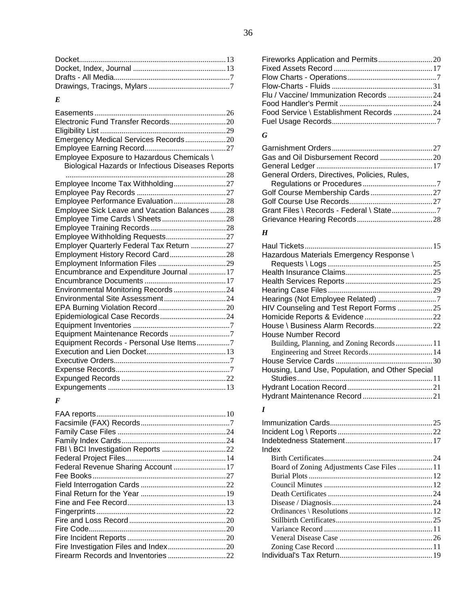### *E*

| Employee Exposure to Hazardous Chemicals \ |  |
|--------------------------------------------|--|

Biological Hazards or Infectious Diseases Reports

| Employee Income Tax Withholding27           |
|---------------------------------------------|
|                                             |
| Employee Performance Evaluation28           |
| Employee Sick Leave and Vacation Balances28 |
|                                             |
|                                             |
|                                             |
| Employer Quarterly Federal Tax Return 27    |
| Employment History Record Card28            |
|                                             |
| Encumbrance and Expenditure Journal 17      |
|                                             |
| Environmental Monitoring Records 24         |
|                                             |
|                                             |
|                                             |
|                                             |
| Equipment Maintenance Records 7             |
| Equipment Records - Personal Use Items7     |
|                                             |
|                                             |
|                                             |
|                                             |
|                                             |
|                                             |

### *F*

| Federal Revenue Sharing Account 17 |  |
|------------------------------------|--|
|                                    |  |
|                                    |  |
|                                    |  |
|                                    |  |
|                                    |  |
|                                    |  |
|                                    |  |
|                                    |  |
|                                    |  |
|                                    |  |
|                                    |  |

### *G*

| General Orders, Directives, Policies, Rules, |  |
|----------------------------------------------|--|
|                                              |  |
|                                              |  |
|                                              |  |
|                                              |  |
|                                              |  |

### *H*

| Hazardous Materials Emergency Response \         |  |
|--------------------------------------------------|--|
|                                                  |  |
|                                                  |  |
|                                                  |  |
|                                                  |  |
| Hearings (Not Employee Related) 7                |  |
| HIV Counseling and Test Report Forms  25         |  |
|                                                  |  |
|                                                  |  |
| House Number Record                              |  |
|                                                  |  |
|                                                  |  |
|                                                  |  |
| Housing, Land Use, Population, and Other Special |  |
|                                                  |  |
|                                                  |  |
|                                                  |  |

### *I*

| Index                                      |  |
|--------------------------------------------|--|
|                                            |  |
| Board of Zoning Adjustments Case Files  11 |  |
|                                            |  |
|                                            |  |
|                                            |  |
|                                            |  |
|                                            |  |
|                                            |  |
|                                            |  |
|                                            |  |
|                                            |  |
|                                            |  |
|                                            |  |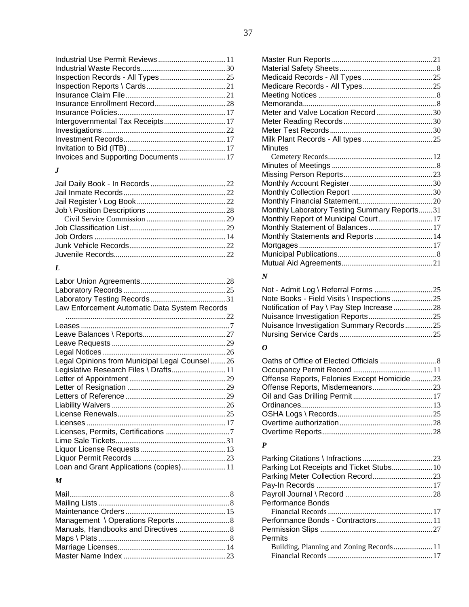37

| Invoices and Supporting Documents17 |  |
|-------------------------------------|--|
|                                     |  |

### *J*

### *L*

| Law Enforcement Automatic Data System Records |  |
|-----------------------------------------------|--|
|                                               |  |
|                                               |  |
|                                               |  |
|                                               |  |
|                                               |  |
| Legal Opinions from Municipal Legal Counsel26 |  |
| Legislative Research Files \ Drafts 11        |  |
|                                               |  |
|                                               |  |
|                                               |  |
|                                               |  |
|                                               |  |
|                                               |  |
|                                               |  |
|                                               |  |
|                                               |  |
|                                               |  |
| Loan and Grant Applications (copies) 11       |  |

#### *M*

| Meter and Valve Location Record30            |  |
|----------------------------------------------|--|
|                                              |  |
|                                              |  |
|                                              |  |
| Minutes                                      |  |
|                                              |  |
|                                              |  |
|                                              |  |
|                                              |  |
|                                              |  |
|                                              |  |
| Monthly Laboratory Testing Summary Reports31 |  |
| Monthly Report of Municipal Court 17         |  |
| Monthly Statement of Balances 17             |  |
| Monthly Statements and Reports 14            |  |
|                                              |  |
|                                              |  |
|                                              |  |
|                                              |  |

### *N*

| Note Books - Field Visits \ Inspections 25 |  |
|--------------------------------------------|--|
| Notification of Pay \ Pay Step Increase 28 |  |
|                                            |  |
| Nuisance Investigation Summary Records25   |  |
|                                            |  |

### *O*

| Offense Reports, Felonies Except Homicide23 |  |
|---------------------------------------------|--|
|                                             |  |
|                                             |  |
|                                             |  |
|                                             |  |
|                                             |  |
|                                             |  |
|                                             |  |

### *P*

| Parking Lot Receipts and Ticket Stubs 10 |  |
|------------------------------------------|--|
|                                          |  |
|                                          |  |
|                                          |  |
| <b>Performance Bonds</b>                 |  |
|                                          |  |
| Performance Bonds - Contractors 11       |  |
|                                          |  |
| Permits                                  |  |
|                                          |  |
|                                          |  |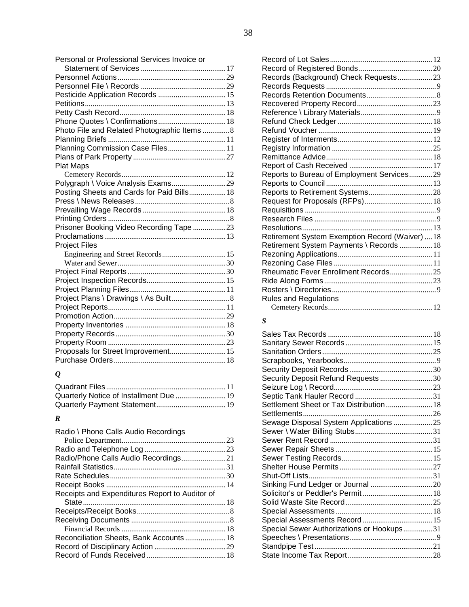| Personal or Professional Services Invoice or |  |
|----------------------------------------------|--|
|                                              |  |
|                                              |  |
| Pesticide Application Records  15            |  |
|                                              |  |
|                                              |  |
|                                              |  |
| Photo File and Related Photographic Items 8  |  |
|                                              |  |
| Planning Commission Case Files 11            |  |
|                                              |  |
| <b>Plat Maps</b>                             |  |
|                                              |  |
| Polygraph \ Voice Analysis Exams29           |  |
| Posting Sheets and Cards for Paid Bills 18   |  |
|                                              |  |
|                                              |  |
|                                              |  |
| Prisoner Booking Video Recording Tape 23     |  |
|                                              |  |
| <b>Project Files</b>                         |  |
|                                              |  |
|                                              |  |
|                                              |  |
|                                              |  |
|                                              |  |
|                                              |  |
|                                              |  |
|                                              |  |
|                                              |  |
|                                              |  |
|                                              |  |
| Proposals for Street Improvement 15          |  |
|                                              |  |

# *Q*

### *R*

| Radio \ Phone Calls Audio Recordings           |  |
|------------------------------------------------|--|
|                                                |  |
|                                                |  |
| Radio/Phone Calls Audio Recordings21           |  |
|                                                |  |
|                                                |  |
|                                                |  |
| Receipts and Expenditures Report to Auditor of |  |
|                                                |  |
|                                                |  |
|                                                |  |
|                                                |  |
|                                                |  |
|                                                |  |
|                                                |  |
|                                                |  |

| Records (Background) Check Requests23           |  |
|-------------------------------------------------|--|
|                                                 |  |
|                                                 |  |
|                                                 |  |
|                                                 |  |
|                                                 |  |
|                                                 |  |
|                                                 |  |
|                                                 |  |
|                                                 |  |
|                                                 |  |
| Reports to Bureau of Employment Services29      |  |
|                                                 |  |
|                                                 |  |
|                                                 |  |
|                                                 |  |
|                                                 |  |
|                                                 |  |
| Retirement System Exemption Record (Waiver)  18 |  |
| Retirement System Payments \ Records  18        |  |
|                                                 |  |
|                                                 |  |
|                                                 |  |
|                                                 |  |
|                                                 |  |
| <b>Rules and Regulations</b>                    |  |
|                                                 |  |

### *S*

| Security Deposit Refund Requests 30       |  |
|-------------------------------------------|--|
|                                           |  |
|                                           |  |
| Settlement Sheet or Tax Distribution  18  |  |
|                                           |  |
| Sewage Disposal System Applications 25    |  |
|                                           |  |
|                                           |  |
|                                           |  |
|                                           |  |
|                                           |  |
|                                           |  |
|                                           |  |
|                                           |  |
|                                           |  |
|                                           |  |
|                                           |  |
| Special Sewer Authorizations or Hookups31 |  |
|                                           |  |
|                                           |  |
|                                           |  |
|                                           |  |